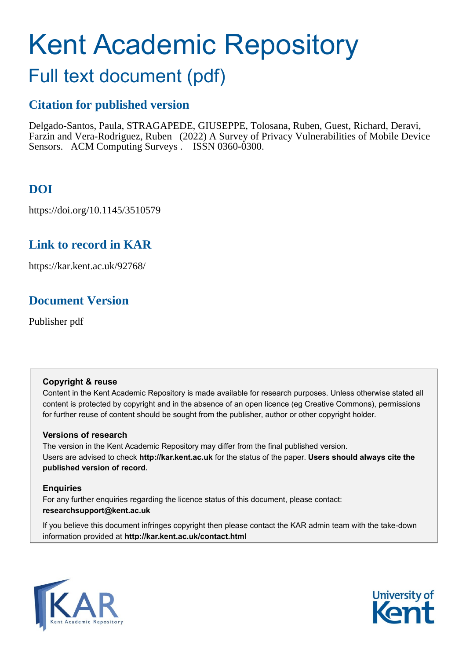# Kent Academic Repository

## Full text document (pdf)

## **Citation for published version**

Delgado-Santos, Paula, STRAGAPEDE, GIUSEPPE, Tolosana, Ruben, Guest, Richard, Deravi, Farzin and Vera-Rodriguez, Ruben (2022) A Survey of Privacy Vulnerabilities of Mobile Device Sensors. ACM Computing Surveys . ISSN 0360-0300.

## **DOI**

https://doi.org/10.1145/3510579

## **Link to record in KAR**

https://kar.kent.ac.uk/92768/

## **Document Version**

Publisher pdf

#### **Copyright & reuse**

Content in the Kent Academic Repository is made available for research purposes. Unless otherwise stated all content is protected by copyright and in the absence of an open licence (eg Creative Commons), permissions for further reuse of content should be sought from the publisher, author or other copyright holder.

#### **Versions of research**

The version in the Kent Academic Repository may differ from the final published version. Users are advised to check **http://kar.kent.ac.uk** for the status of the paper. **Users should always cite the published version of record.**

#### **Enquiries**

For any further enquiries regarding the licence status of this document, please contact: **researchsupport@kent.ac.uk**

If you believe this document infringes copyright then please contact the KAR admin team with the take-down information provided at **http://kar.kent.ac.uk/contact.html**



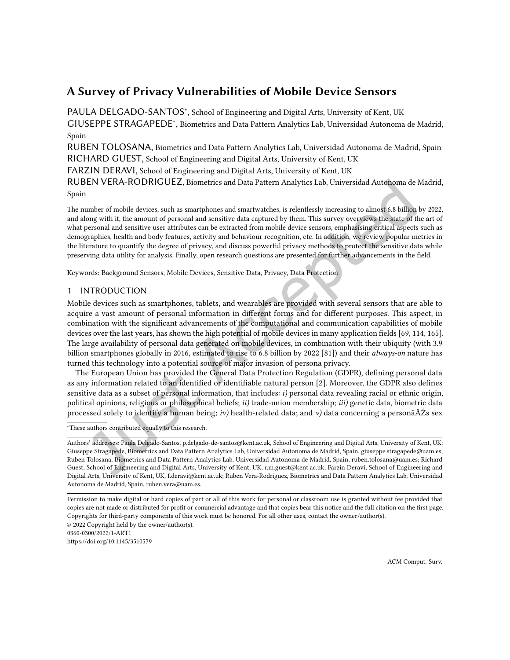### A Survey of Privacy Vulnerabilities of Mobile Device Sensors

[PAULA DELGADO-SANTOS](HTTPS://ORCID.ORG/0000-0002-7354-2295)<sup>\*</sup>, School of Engineering and Digital Arts, University of Kent, UK

GIUSEPPE STRAGAPEDE<sup>∗</sup> , Biometrics and Data Pattern Analytics Lab, Universidad Autonoma de Madrid, Spain

RUBEN TOLOSANA, Biometrics and Data Pattern Analytics Lab, Universidad Autonoma de Madrid, Spain RICHARD GUEST, School of Engineering and Digital Arts, University of Kent, UK

FARZIN DERAVI, School of Engineering and Digital Arts, University of Kent, UK

RUBEN VERA-RODRIGUEZ, Biometrics and Data Pattern Analytics Lab, Universidad Autonoma de Madrid, Spain

The number of mobile devices, such as smartphones and smartwatches, is relentlessly increasing to almost 6.8 billion by 2022, and along with it, the amount of personal and sensitive data captured by them. This survey overviews the state of the art of what personal and sensitive user attributes can be extracted from mobile device sensors, emphasising critical aspects such as demographics, health and body features, activity and behaviour recognition, etc. In addition, we review popular metrics in the literature to quantify the degree of privacy, and discuss powerful privacy methods to protect the sensitive data while preserving data utility for analysis. Finally, open research questions are presented for further advancements in the ield.

Keywords: Background Sensors, Mobile Devices, Sensitive Data, Privacy, Data Protection

#### 1 INTRODUCTION

Mobile devices such as smartphones, tablets, and wearables are provided with several sensors that are able to acquire a vast amount of personal information in diferent forms and for diferent purposes. This aspect, in combination with the significant advancements of the computational and communication capabilities of mobile devices over the last years, has shown the high potential of mobile devices in many application ields [\[69,](#page--1-0) [114,](#page--1-1) [165\]](#page--1-2). The large availability of personal data generated on mobile devices, in combination with their ubiquity (with 3.9 billion smartphones globally in 2016, estimated to rise to 6.8 billion by 2022 [\[81\]](#page--1-3)) and their always-on nature has turned this technology into a potential source of major invasion of persona privacy.

The European Union has provided the General Data Protection Regulation (GDPR), deining personal data as any information related to an identified or identifiable natural person [\[2\]](#page--1-4). Moreover, the GDPR also defines sensitive data as a subset of personal information, that includes: i) personal data revealing racial or ethnic origin, political opinions, religious or philosophical beliefs; ii) trade-union membership; iii) genetic data, biometric data processed solely to identify a human being; iv) health-related data; and v) data concerning a personâ $\tilde{A}Zs$  sex

<sup>∗</sup>These authors contributed equally to this research.

0360-0300/2022/1-ART1 <https://doi.org/10.1145/3510579>

Authors' addresses: [Paula Delgado-Santos,](https://orcid.org/0000-0002-7354-2295) p.delgado-de-santos@kent.ac.uk, School of Engineering and Digital Arts, University of Kent, UK; Giuseppe Stragapede, Biometrics and Data Pattern Analytics Lab, Universidad Autonoma de Madrid, Spain, giuseppe.stragapede@uam.es; Ruben Tolosana, Biometrics and Data Pattern Analytics Lab, Universidad Autonoma de Madrid, Spain, ruben.tolosana@uam.es; Richard Guest, School of Engineering and Digital Arts, University of Kent, UK, r.m.guest@kent.ac.uk; Farzin Deravi, School of Engineering and Digital Arts, University of Kent, UK, f.deravi@kent.ac.uk; Ruben Vera-Rodriguez, Biometrics and Data Pattern Analytics Lab, Universidad Autonoma de Madrid, Spain, ruben.vera@uam.es.

Permission to make digital or hard copies of part or all of this work for personal or classroom use is granted without fee provided that copies are not made or distributed for proit or commercial advantage and that copies bear this notice and the full citation on the irst page. Copyrights for third-party components of this work must be honored. For all other uses, contact the owner/author(s). © 2022 Copyright held by the owner/author(s).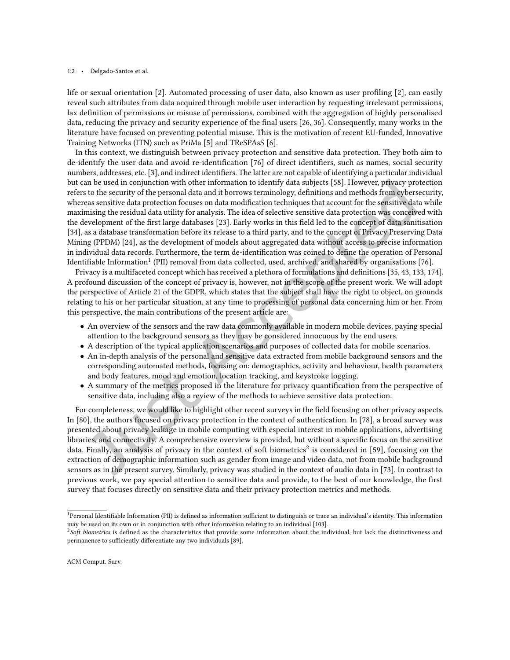#### 1:2 • Delgado-Santos et al.

life or sexual orientation [\[2\]](#page--1-4). Automated processing of user data, also known as user profiling [2], can easily reveal such attributes from data acquired through mobile user interaction by requesting irrelevant permissions, lax definition of permissions or misuse of permissions, combined with the aggregation of highly personalised data, reducing the privacy and security experience of the inal users [\[26,](#page--1-5) [36\]](#page--1-6). Consequently, many works in the literature have focused on preventing potential misuse. This is the motivation of recent EU-funded, Innovative Training Networks (ITN) such as PriMa [\[5\]](#page--1-7) and TReSPAsS [\[6\]](#page--1-8).

In this context, we distinguish between privacy protection and sensitive data protection. They both aim to de-identify the user data and avoid re-identification [\[76\]](#page--1-9) of direct identifiers, such as names, social security numbers, addresses, etc. [\[3\]](#page--1-10), and indirect identifiers. The latter are not capable of identifying a particular individual but can be used in conjunction with other information to identify data subjects [\[58\]](#page--1-11). However, privacy protection refers to the security of the personal data and it borrows terminology, deinitions and methods from cybersecurity, whereas sensitive data protection focuses on data modification techniques that account for the sensitive data while maximising the residual data utility for analysis. The idea of selective sensitive data protection was conceived with the development of the irst large databases [\[23\]](#page--1-12). Early works in this ield led to the concept of data sanitisation [\[34\]](#page--1-13), as a database transformation before its release to a third party, and to the concept of Privacy Preserving Data Mining (PPDM) [\[24\]](#page--1-14), as the development of models about aggregated data without access to precise information in individual data records. Furthermore, the term de-identification was coined to define the operation of Personal Identifiable Information<sup>[1](#page--1-14)</sup> (PII) removal from data collected, used, archived, and shared by organisations [\[76\]](#page--1-9).

Privacy is a multifaceted concept which has received a plethora of formulations and deinitions [\[35,](#page--1-15) [43,](#page--1-16) [133,](#page--1-17) [174\]](#page--1-18). A profound discussion of the concept of privacy is, however, not in the scope of the present work. We will adopt the perspective of Article 21 of the GDPR, which states that the subject shall have the right to object, on grounds relating to his or her particular situation, at any time to processing of personal data concerning him or her. From this perspective, the main contributions of the present article are:

- An overview of the sensors and the raw data commonly available in modern mobile devices, paying special attention to the background sensors as they may be considered innocuous by the end users.
- A description of the typical application scenarios and purposes of collected data for mobile scenarios.
- An in-depth analysis of the personal and sensitive data extracted from mobile background sensors and the corresponding automated methods, focusing on: demographics, activity and behaviour, health parameters and body features, mood and emotion, location tracking, and keystroke logging.
- A summary of the metrics proposed in the literature for privacy quantification from the perspective of sensitive data, including also a review of the methods to achieve sensitive data protection.

For completeness, we would like to highlight other recent surveys in the ield focusing on other privacy aspects. In [\[80\]](#page--1-19), the authors focused on privacy protection in the context of authentication. In [\[78\]](#page--1-20), a broad survey was presented about privacy leakage in mobile computing with especial interest in mobile applications, advertising libraries, and connectivity. A comprehensive overview is provided, but without a speciic focus on the sensitive data. Finally, an analysis of privacy in the context of soft biometrics<sup>[2](#page--1-21)</sup> is considered in [\[59\]](#page--1-22), focusing on the extraction of demographic information such as gender from image and video data, not from mobile background sensors as in the present survey. Similarly, privacy was studied in the context of audio data in [\[73\]](#page--1-23). In contrast to previous work, we pay special attention to sensitive data and provide, to the best of our knowledge, the first survey that focuses directly on sensitive data and their privacy protection metrics and methods.

<sup>&</sup>lt;sup>1</sup>Personal Identifiable Information (PII) is defined as information sufficient to distinguish or trace an individual's identity. This information may be used on its own or in conjunction with other information relating to an individual [\[103\]](#page--1-24).

 $^{2}$ Soft biometrics is defined as the characteristics that provide some information about the individual, but lack the distinctiveness and permanence to sufficiently differentiate any two individuals [\[89\]](#page--1-6).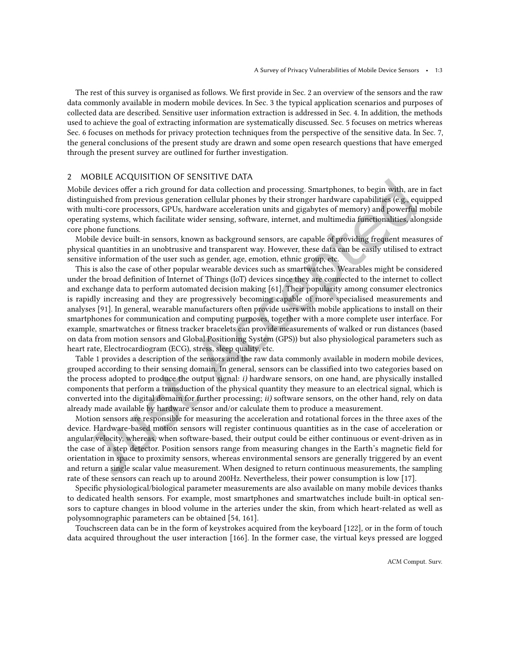The rest of this survey is organised as follows. We first provide in Sec. [2](#page--1-25) an overview of the sensors and the raw data commonly available in modern mobile devices. In Sec. [3](#page--1-26) the typical application scenarios and purposes of collected data are described. Sensitive user information extraction is addressed in Sec. [4.](#page--1-27) In addition, the methods used to achieve the goal of extracting information are systematically discussed. Sec. [5](#page--1-28) focuses on metrics whereas Sec. [6](#page--1-29) focuses on methods for privacy protection techniques from the perspective of the sensitive data. In Sec. [7,](#page--1-30) the general conclusions of the present study are drawn and some open research questions that have emerged through the present survey are outlined for further investigation.

#### 2 MOBILE ACQUISITION OF SENSITIVE DATA

Mobile devices ofer a rich ground for data collection and processing. Smartphones, to begin with, are in fact distinguished from previous generation cellular phones by their stronger hardware capabilities (e.g., equipped with multi-core processors, GPUs, hardware acceleration units and gigabytes of memory) and powerful mobile operating systems, which facilitate wider sensing, software, internet, and multimedia functionalities, alongside core phone functions.

Mobile device built-in sensors, known as background sensors, are capable of providing frequent measures of physical quantities in an unobtrusive and transparent way. However, these data can be easily utilised to extract sensitive information of the user such as gender, age, emotion, ethnic group, etc.

This is also the case of other popular wearable devices such as smartwatches. Wearables might be considered under the broad deinition of Internet of Things (IoT) devices since they are connected to the internet to collect and exchange data to perform automated decision making [\[61\]](#page--1-31). Their popularity among consumer electronics is rapidly increasing and they are progressively becoming capable of more specialised measurements and analyses [\[91\]](#page--1-32). In general, wearable manufacturers often provide users with mobile applications to install on their smartphones for communication and computing purposes, together with a more complete user interface. For example, smartwatches or itness tracker bracelets can provide measurements of walked or run distances (based on data from motion sensors and Global Positioning System (GPS)) but also physiological parameters such as heart rate, Electrocardiogram (ECG), stress, sleep quality, etc.

Table [1](#page--1-33) provides a description of the sensors and the raw data commonly available in modern mobile devices, grouped according to their sensing domain. In general, sensors can be classiied into two categories based on the process adopted to produce the output signal: i) hardware sensors, on one hand, are physically installed components that perform a transduction of the physical quantity they measure to an electrical signal, which is converted into the digital domain for further processing; ii) software sensors, on the other hand, rely on data already made available by hardware sensor and/or calculate them to produce a measurement.

Motion sensors are responsible for measuring the acceleration and rotational forces in the three axes of the device. Hardware-based motion sensors will register continuous quantities as in the case of acceleration or angular velocity, whereas, when software-based, their output could be either continuous or event-driven as in the case of a step detector. Position sensors range from measuring changes in the Earth's magnetic ield for orientation in space to proximity sensors, whereas environmental sensors are generally triggered by an event and return a single scalar value measurement. When designed to return continuous measurements, the sampling rate of these sensors can reach up to around 200Hz. Nevertheless, their power consumption is low [\[17\]](#page--1-34).

Specific physiological/biological parameter measurements are also available on many mobile devices thanks to dedicated health sensors. For example, most smartphones and smartwatches include built-in optical sensors to capture changes in blood volume in the arteries under the skin, from which heart-related as well as polysomnographic parameters can be obtained [\[54,](#page--1-3) [161\]](#page--1-35).

Touchscreen data can be in the form of keystrokes acquired from the keyboard [\[122\]](#page--1-36), or in the form of touch data acquired throughout the user interaction [\[166\]](#page--1-37). In the former case, the virtual keys pressed are logged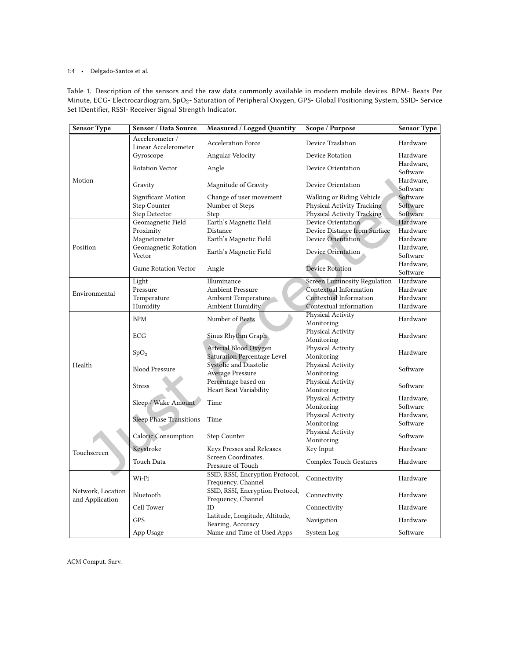#### 1:4 • Delgado-Santos et al.

Table 1. Description of the sensors and the raw data commonly available in modern mobile devices. BPM- Beats Per Minute, ECG- Electrocardiogram, SpO2- Saturation of Peripheral Oxygen, GPS- Global Positioning System, SSID- Service Set IDentifier, RSSI- Receiver Signal Strength Indicator.

| <b>Sensor Type</b>                   | <b>Sensor / Data Source</b>    | <b>Measured / Logged Quantity</b>                   | Scope / Purpose                     | <b>Sensor Type</b>    |  |
|--------------------------------------|--------------------------------|-----------------------------------------------------|-------------------------------------|-----------------------|--|
|                                      | Accelerometer /                | <b>Acceleration Force</b>                           | Device Traslation                   | Hardware              |  |
|                                      | Linear Accelerometer           |                                                     |                                     |                       |  |
|                                      | Gyroscope                      | Angular Velocity                                    | Device Rotation                     | Hardware              |  |
|                                      | <b>Rotation Vector</b>         | Angle                                               | Device Orientation                  | Hardware,             |  |
|                                      |                                |                                                     |                                     | Software              |  |
| Motion                               | Gravity                        | Magnitude of Gravity                                | Device Orientation                  | Hardware,             |  |
|                                      |                                |                                                     |                                     | Software              |  |
|                                      | Significant Motion             | Change of user movement                             | Walking or Riding Vehicle           | Software              |  |
|                                      | Step Counter                   | Number of Steps                                     | Physical Activity Tracking          | Software              |  |
|                                      | Step Detector                  | Step                                                | Physical Activity Tracking          | Software              |  |
|                                      | Geomagnetic Field              | Earth's Magnetic Field                              | Device Orientation                  | Hardware              |  |
|                                      | Proximity                      | Distance<br>Device Distance from Surface            |                                     | Hardware              |  |
|                                      | Magnetometer                   | Earth's Magnetic Field                              | <b>Device Orientation</b>           | Hardware              |  |
| Position                             | Geomagnetic Rotation           | Earth's Magnetic Field                              | Device Orientation                  | Hardware,             |  |
|                                      | Vector                         |                                                     |                                     | Software              |  |
|                                      | <b>Game Rotation Vector</b>    | Angle                                               | <b>Device Rotation</b>              | Hardware,<br>Software |  |
|                                      | Light                          | Illuminance                                         | <b>Screen Luminosity Regulation</b> | Hardware              |  |
|                                      | Pressure                       | <b>Ambient Pressure</b>                             | Contextual Information              | Hardware              |  |
| Environmental                        | Temperature                    | Ambient Temperature                                 | Contextual Information              | Hardware              |  |
|                                      | Humidity                       | <b>Ambient Humidity</b>                             | Contextual information              | Hardware              |  |
|                                      |                                | Number of Beats                                     | Physical Activity                   |                       |  |
|                                      | <b>BPM</b>                     |                                                     | Monitoring                          | Hardware              |  |
|                                      |                                | Sinus Rhythm Graph                                  | Physical Activity                   |                       |  |
|                                      | ECG                            |                                                     | Monitoring                          | Hardware              |  |
|                                      |                                | Arterial Blood Oxygen                               | Physical Activity                   |                       |  |
|                                      | SpO <sub>2</sub>               | Saturation Percentage Level                         | Monitoring                          | Hardware              |  |
| Health                               |                                | Systolic and Diastolic                              | Physical Activity                   |                       |  |
|                                      | <b>Blood Pressure</b>          | <b>Average Pressure</b>                             | Monitoring                          | Software              |  |
|                                      | <b>Stress</b>                  | Percentage based on                                 | Physical Activity                   | Software              |  |
|                                      |                                | Heart Beat Variability                              | Monitoring                          |                       |  |
|                                      |                                | Time                                                | Physical Activity                   | Hardware,             |  |
|                                      | Sleep / Wake Amount            |                                                     | Monitoring                          | Software              |  |
|                                      | <b>Sleep Phase Transitions</b> |                                                     | Physical Activity                   | Hardware,             |  |
|                                      |                                | Time                                                | Monitoring                          | Software              |  |
|                                      | Caloric Consumption            | Step Counter                                        | Physical Activity                   | Software              |  |
|                                      |                                |                                                     | Monitoring                          |                       |  |
| Touchscreen                          | Keystroke                      | Keys Presses and Releases                           | Key Input                           | Hardware              |  |
|                                      | Touch Data                     | Screen Coordinates,                                 | <b>Complex Touch Gestures</b>       | Hardware              |  |
|                                      |                                | Pressure of Touch                                   |                                     |                       |  |
|                                      | Wi-Fi                          | SSID, RSSI, Encryption Protocol,                    | Connectivity                        | Hardware              |  |
| Network, Location<br>and Application |                                | Frequency, Channel                                  |                                     |                       |  |
|                                      | Bluetooth                      | SSID, RSSI, Encryption Protocol,                    | Connectivity                        | Hardware              |  |
|                                      |                                | Frequency, Channel                                  |                                     |                       |  |
|                                      | Cell Tower                     | ID                                                  | Connectivity                        | Hardware              |  |
|                                      | <b>GPS</b>                     | Latitude, Longitude, Altitude,<br>Bearing, Accuracy | Navigation                          | Hardware              |  |
|                                      | App Usage                      | Name and Time of Used Apps                          | System Log                          | Software              |  |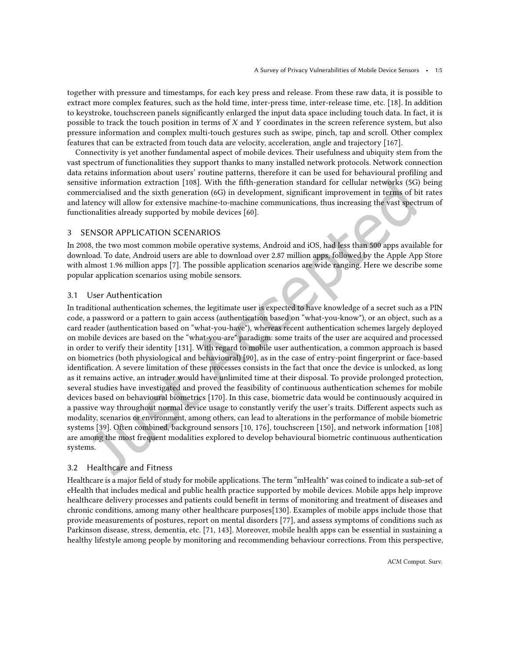together with pressure and timestamps, for each key press and release. From these raw data, it is possible to extract more complex features, such as the hold time, inter-press time, inter-release time, etc. [\[18\]](#page--1-38). In addition to keystroke, touchscreen panels significantly enlarged the input data space including touch data. In fact, it is possible to track the touch position in terms of X and Y coordinates in the screen reference system, but also pressure information and complex multi-touch gestures such as swipe, pinch, tap and scroll. Other complex features that can be extracted from touch data are velocity, acceleration, angle and trajectory [\[167\]](#page--1-39).

Connectivity is yet another fundamental aspect of mobile devices. Their usefulness and ubiquity stem from the vast spectrum of functionalities they support thanks to many installed network protocols. Network connection data retains information about users' routine patterns, therefore it can be used for behavioural profiling and sensitive information extraction [\[108\]](#page--1-2). With the ifth-generation standard for cellular networks (5G) being commercialised and the sixth generation (6G) in development, signiicant improvement in terms of bit rates and latency will allow for extensive machine-to-machine communications, thus increasing the vast spectrum of functionalities already supported by mobile devices [\[60\]](#page--1-40).

#### 3 SENSOR APPLICATION SCENARIOS

In 2008, the two most common mobile operative systems, Android and iOS, had less than 500 apps available for download. To date, Android users are able to download over 2.87 million apps, followed by the Apple App Store with almost 1.96 million apps [\[7\]](#page--1-41). The possible application scenarios are wide ranging. Here we describe some popular application scenarios using mobile sensors.

#### 3.1 User Authentication

In traditional authentication schemes, the legitimate user is expected to have knowledge of a secret such as a PIN code, a password or a pattern to gain access (authentication based on "what-you-know"), or an object, such as a card reader (authentication based on "what-you-have"), whereas recent authentication schemes largely deployed on mobile devices are based on the "what-you-are" paradigm: some traits of the user are acquired and processed in order to verify their identity [\[131\]](#page--1-42). With regard to mobile user authentication, a common approach is based on biometrics (both physiological and behavioural) [\[90\]](#page--1-43), as in the case of entry-point ingerprint or face-based identification. A severe limitation of these processes consists in the fact that once the device is unlocked, as long as it remains active, an intruder would have unlimited time at their disposal. To provide prolonged protection, several studies have investigated and proved the feasibility of continuous authentication schemes for mobile devices based on behavioural biometrics [\[170\]](#page--1-44). In this case, biometric data would be continuously acquired in a passive way throughout normal device usage to constantly verify the user's traits. Diferent aspects such as modality, scenarios or environment, among others, can lead to alterations in the performance of mobile biometric systems [\[39\]](#page--1-45). Often combined, background sensors [\[10,](#page--1-46) [176\]](#page--1-47), touchscreen [\[150\]](#page--1-48), and network information [\[108\]](#page--1-2) are among the most frequent modalities explored to develop behavioural biometric continuous authentication systems.

#### 3.2 Healthcare and Fitness

Healthcare is a major field of study for mobile applications. The term "mHealth" was coined to indicate a sub-set of eHealth that includes medical and public health practice supported by mobile devices. Mobile apps help improve healthcare delivery processes and patients could benefit in terms of monitoring and treatment of diseases and chronic conditions, among many other healthcare purposes[\[130\]](#page--1-24). Examples of mobile apps include those that provide measurements of postures, report on mental disorders [\[77\]](#page--1-49), and assess symptoms of conditions such as Parkinson disease, stress, dementia, etc. [\[71,](#page--1-38) [143\]](#page--1-50). Moreover, mobile health apps can be essential in sustaining a healthy lifestyle among people by monitoring and recommending behaviour corrections. From this perspective,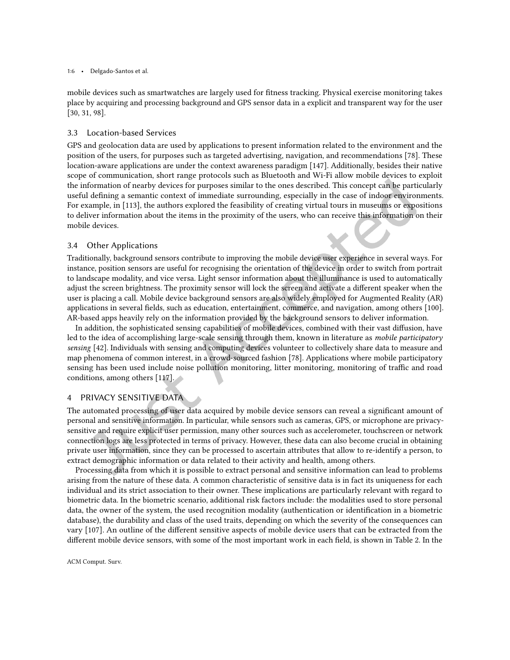#### 1:6 • Delgado-Santos et al.

mobile devices such as smartwatches are largely used for itness tracking. Physical exercise monitoring takes place by acquiring and processing background and GPS sensor data in a explicit and transparent way for the user [\[30,](#page--1-51) [31,](#page--1-52) [98\]](#page--1-34).

#### 3.3 Location-based Services

GPS and geolocation data are used by applications to present information related to the environment and the position of the users, for purposes such as targeted advertising, navigation, and recommendations [\[78\]](#page--1-20). These location-aware applications are under the context awareness paradigm [\[147\]](#page--1-53). Additionally, besides their native scope of communication, short range protocols such as Bluetooth and Wi-Fi allow mobile devices to exploit the information of nearby devices for purposes similar to the ones described. This concept can be particularly useful defining a semantic context of immediate surrounding, especially in the case of indoor environments. For example, in [\[113\]](#page--1-54), the authors explored the feasibility of creating virtual tours in museums or expositions to deliver information about the items in the proximity of the users, who can receive this information on their mobile devices.

#### 3.4 Other Applications

Traditionally, background sensors contribute to improving the mobile device user experience in several ways. For instance, position sensors are useful for recognising the orientation of the device in order to switch from portrait to landscape modality, and vice versa. Light sensor information about the illuminance is used to automatically adjust the screen brightness. The proximity sensor will lock the screen and activate a diferent speaker when the user is placing a call. Mobile device background sensors are also widely employed for Augmented Reality (AR) applications in several ields, such as education, entertainment, commerce, and navigation, among others [\[100\]](#page--1-55). AR-based apps heavily rely on the information provided by the background sensors to deliver information.

In addition, the sophisticated sensing capabilities of mobile devices, combined with their vast difusion, have led to the idea of accomplishing large-scale sensing through them, known in literature as mobile participatory sensing [\[42\]](#page--1-56). Individuals with sensing and computing devices volunteer to collectively share data to measure and map phenomena of common interest, in a crowd-sourced fashion [\[78\]](#page--1-20). Applications where mobile participatory sensing has been used include noise pollution monitoring, litter monitoring, monitoring of traffic and road conditions, among others [\[117\]](#page--1-57).

#### 4 PRIVACY SENSITIVE DATA

The automated processing of user data acquired by mobile device sensors can reveal a significant amount of personal and sensitive information. In particular, while sensors such as cameras, GPS, or microphone are privacysensitive and require explicit user permission, many other sources such as accelerometer, touchscreen or network connection logs are less protected in terms of privacy. However, these data can also become crucial in obtaining private user information, since they can be processed to ascertain attributes that allow to re-identify a person, to extract demographic information or data related to their activity and health, among others.

Processing data from which it is possible to extract personal and sensitive information can lead to problems arising from the nature of these data. A common characteristic of sensitive data is in fact its uniqueness for each individual and its strict association to their owner. These implications are particularly relevant with regard to biometric data. In the biometric scenario, additional risk factors include: the modalities used to store personal data, the owner of the system, the used recognition modality (authentication or identiication in a biometric database), the durability and class of the used traits, depending on which the severity of the consequences can vary [\[107\]](#page--1-58). An outline of the diferent sensitive aspects of mobile device users that can be extracted from the diferent mobile device sensors, with some of the most important work in each ield, is shown in Table [2.](#page--1-33) In the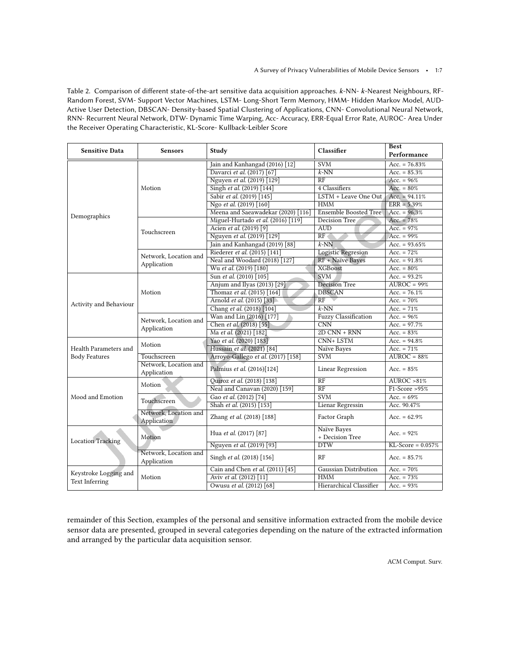Table 2. Comparison of diferent state-of-the-art sensitive data acquisition approaches. k-NN- k-Nearest Neighbours, RF-Random Forest, SVM- Support Vector Machines, LSTM- Long-Short Term Memory, HMM- Hidden Markov Model, AUD-Active User Detection, DBSCAN- Density-based Spatial Clustering of Applications, CNN- Convolutional Neural Network, RNN- Recurrent Neural Network, DTW- Dynamic Time Warping, Acc- Accuracy, ERR-Equal Error Rate, AUROC- Area Under the Receiver Operating Characteristic, KL-Score- Kullback-Leibler Score

| <b>Sensitive Data</b>    | <b>Sensors</b>                       | Classifier<br>Study                |                                | <b>Best</b><br>Performance       |
|--------------------------|--------------------------------------|------------------------------------|--------------------------------|----------------------------------|
|                          | Motion                               | Jain and Kanhangad (2016) [12]     | <b>SVM</b>                     | Acc. = $76.83%$                  |
|                          |                                      | Davarci et al. (2017) [67]         | $k$ -NN                        | Acc. = $85.3%$                   |
|                          |                                      | Nguyen et al. (2019) [129]         | RF                             | Acc. = $96%$                     |
| Demographics             |                                      | Singh et al. (2019) [144]          | 4 Classifiers                  | Acc. = $80\%$                    |
|                          |                                      | Sabir et al. (2019) [145]          | LSTM + Leave One Out           | Acc. = $94.11\%$                 |
|                          |                                      | Ngo et al. (2019) [160]            | <b>HMM</b>                     | $ERR = 5.39%$                    |
|                          |                                      | Meena and Saeawadekar (2020) [116] | <b>Ensemble Boosted Tree</b>   | Acc. = $96.3%$                   |
|                          | Touchscreen                          | Miguel-Hurtado et al. (2016) [119] | Decision Tree                  | Acc. = $78%$                     |
|                          |                                      | Acien et al. (2019) [9]            | AUD                            | $Acc. = 97%$                     |
|                          |                                      | Nguyen et al. (2019) [129]         | RF <sub>1</sub>                | Acc. = $99%$                     |
|                          |                                      | Jain and Kanhangad (2019) [88]     | $k$ -NN                        | Acc. = $93.65%$                  |
|                          | Network, Location and                | Riederer et al. (2015) [141]       | <b>Logistic Regresion</b>      | Acc. $= 72%$                     |
|                          |                                      | Neal and Woodard (2018) [127]      | RF + Naïve Bayes               | Acc. = $91.8\%$                  |
|                          | Application                          | Wu et al. (2019) [180]             | <b>XGBoost</b>                 | Acc. = $80\%$                    |
|                          |                                      | Sun et al. (2010) [105]            | <b>SVM</b>                     | Acc. = $93.2%$                   |
|                          | Motion                               | Anjum and Ilyas (2013) [29]        | Decision Tree                  | $\overline{\text{AUROC}} = 99\%$ |
|                          |                                      | Thomaz et al. (2015) [164]         | <b>DBSCAN</b>                  | Acc. = $76.1\%$                  |
| Activity and Behaviour   |                                      | Arnold et al. (2015) [33]          | RF                             | Acc. $= 70\%$                    |
|                          |                                      | Chang et al. (2018) [104]          | $k$ -NN                        | Acc. = $71\%$                    |
|                          | Network, Location and                | Wan and Lin (2016) [177]           | <b>Fuzzy Classification</b>    | Acc. = $96\%$                    |
|                          |                                      | Chen et al. (2018) [55]            | $\overline{\text{CNN}}$        | Acc. = $97.7%$                   |
|                          | Application                          | Ma et al. (2021) [182]             | $2D CNN + RNN$                 | Acc. = $83\%$                    |
|                          | Motion                               | Yao et al. (2020) [183]            | $CNN+LSTM$                     | Acc. = $94.8\%$                  |
| Health Parameters and    |                                      | Hussain et al. (2021) [84]         | Naïve Bayes                    | Acc. $= 71\%$                    |
| <b>Body Features</b>     | Touchscreen                          | Arroyo-Gallego et al. (2017) [158] | <b>SVM</b>                     | $AUROC = 88%$                    |
|                          | Network, Location and<br>Application | Palmius et al. (2016)[124]         | <b>Linear Regression</b>       | Acc. = $85%$                     |
|                          | Motion                               | Quiroz et al. (2018) [138]         | $\overline{RF}$                | AUROC > 81%                      |
|                          |                                      | Neal and Canavan (2020) [159]      | $\overline{RF}$                | $F1-Score > 95%$                 |
| Mood and Emotion         | Touchscreen                          | Gao et al. (2012) [74]             | <b>SVM</b>                     | Acc. = $69%$                     |
|                          |                                      | Shah et al. (2015) [153]           | Lienar Regressin               | Acc. 90.47%                      |
|                          | Network, Location and<br>Application | Zhang et al. (2018) [188]          | Factor Graph                   | Acc. = $62.9\%$                  |
| <b>Location Tracking</b> | Motion                               | Hua et al. (2017) [87]             | Naïve Bayes<br>+ Decision Tree | Acc. = $92%$                     |
|                          |                                      | Nguyen et al. (2019) [93]          | <b>DTW</b>                     | $KL-Score = 0.057%$              |
|                          | Network, Location and<br>Application | Singh et al. (2018) [156]          | RF                             | Acc. = $85.7%$                   |
| Keystroke Logging and    |                                      | Cain and Chen et al. (2011) [45]   | Gaussian Distribution          | Acc. = $70\%$                    |
| <b>Text Inferring</b>    | Motion                               | Aviv et al. (2012) [11]            | <b>HMM</b>                     | Acc. = $73%$                     |
|                          |                                      | Owusu et al. (2012) [68]           | <b>Hierarchical Classifier</b> | Acc. = $93%$                     |

remainder of this Section, examples of the personal and sensitive information extracted from the mobile device sensor data are presented, grouped in several categories depending on the nature of the extracted information and arranged by the particular data acquisition sensor.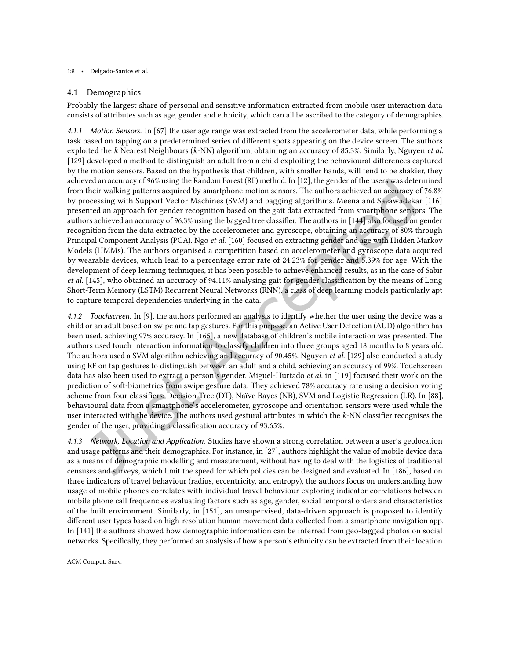#### 1:8 • Delgado-Santos et al.

#### 4.1 Demographics

Probably the largest share of personal and sensitive information extracted from mobile user interaction data consists of attributes such as age, gender and ethnicity, which can all be ascribed to the category of demographics.

4.1.1 Motion Sensors. In [\[67\]](#page--1-60) the user age range was extracted from the accelerometer data, while performing a task based on tapping on a predetermined series of diferent spots appearing on the device screen. The authors exploited the k Nearest Neighbours (k-NN) algorithm, obtaining an accuracy of 85.3%. Similarly, Nguyen et al. [\[129\]](#page--1-61) developed a method to distinguish an adult from a child exploiting the behavioural diferences captured by the motion sensors. Based on the hypothesis that children, with smaller hands, will tend to be shakier, they achieved an accuracy of 96% using the Random Forest (RF) method. In [\[12\]](#page--1-59), the gender of the users was determined from their walking patterns acquired by smartphone motion sensors. The authors achieved an accuracy of 76.8% by processing with Support Vector Machines (SVM) and bagging algorithms. Meena and Saeawadekar [\[116\]](#page--1-64) presented an approach for gender recognition based on the gait data extracted from smartphone sensors. The authors achieved an accuracy of 96.3% using the bagged tree classifier. The authors in [\[144\]](#page--1-1) also focused on gender recognition from the data extracted by the accelerometer and gyroscope, obtaining an accuracy of 80% through Principal Component Analysis (PCA). Ngo et al. [\[160\]](#page--1-63) focused on extracting gender and age with Hidden Markov Models (HMMs). The authors organised a competition based on accelerometer and gyroscope data acquired by wearable devices, which lead to a percentage error rate of 24.23% for gender and 5.39% for age. With the development of deep learning techniques, it has been possible to achieve enhanced results, as in the case of Sabir et al. [\[145\]](#page--1-62), who obtained an accuracy of 94.11% analysing gait for gender classiication by the means of Long Short-Term Memory (LSTM) Recurrent Neural Networks (RNN), a class of deep learning models particularly apt to capture temporal dependencies underlying in the data.

4.1.2 Touchscreen. In [\[9\]](#page--1-66), the authors performed an analysis to identify whether the user using the device was a child or an adult based on swipe and tap gestures. For this purpose, an Active User Detection (AUD) algorithm has been used, achieving 97% accuracy. In [\[165\]](#page--1-2), a new database of children's mobile interaction was presented. The authors used touch interaction information to classify children into three groups aged 18 months to 8 years old. The authors used a SVM algorithm achieving and accuracy of 90.45%. Nguyen *et al.* [\[129\]](#page--1-61) also conducted a study using RF on tap gestures to distinguish between an adult and a child, achieving an accuracy of 99%. Touchscreen data has also been used to extract a person's gender. Miguel-Hurtado *et al.* in [\[119\]](#page--1-65) focused their work on the prediction of soft-biometrics from swipe gesture data. They achieved 78% accuracy rate using a decision voting scheme from four classiiers: Decision Tree (DT), Naïve Bayes (NB), SVM and Logistic Regression (LR). In [\[88\]](#page--1-15), behavioural data from a smartphone's accelerometer, gyroscope and orientation sensors were used while the user interacted with the device. The authors used gestural attributes in which the k-NN classifier recognises the gender of the user, providing a classification accuracy of 93.65%.

4.1.3 Network, Location and Application. Studies have shown a strong correlation between a user's geolocation and usage patterns and their demographics. For instance, in [\[27\]](#page--1-81), authors highlight the value of mobile device data as a means of demographic modelling and measurement, without having to deal with the logistics of traditional censuses and surveys, which limit the speed for which policies can be designed and evaluated. In [\[186\]](#page--1-61), based on three indicators of travel behaviour (radius, eccentricity, and entropy), the authors focus on understanding how usage of mobile phones correlates with individual travel behaviour exploring indicator correlations between mobile phone call frequencies evaluating factors such as age, gender, social temporal orders and characteristics of the built environment. Similarly, in [\[151\]](#page--1-82), an unsupervised, data-driven approach is proposed to identify diferent user types based on high-resolution human movement data collected from a smartphone navigation app. In [\[141\]](#page--1-67) the authors showed how demographic information can be inferred from geo-tagged photos on social networks. Speciically, they performed an analysis of how a person's ethnicity can be extracted from their location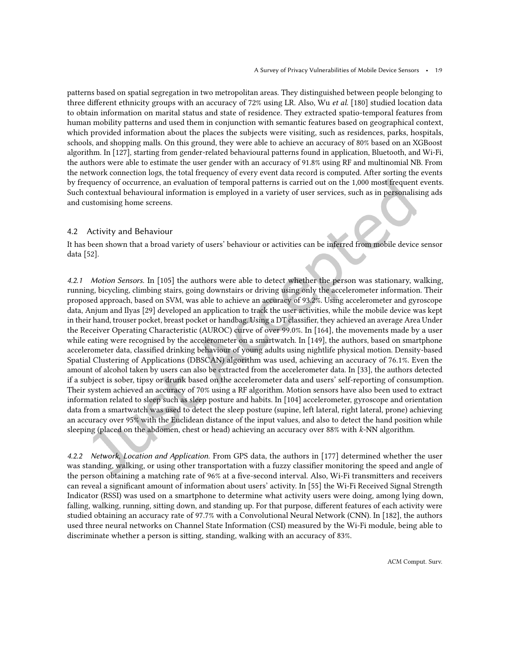patterns based on spatial segregation in two metropolitan areas. They distinguished between people belonging to three diferent ethnicity groups with an accuracy of 72% using LR. Also, Wu et al. [\[180\]](#page--1-68) studied location data to obtain information on marital status and state of residence. They extracted spatio-temporal features from human mobility patterns and used them in conjunction with semantic features based on geographical context, which provided information about the places the subjects were visiting, such as residences, parks, hospitals, schools, and shopping malls. On this ground, they were able to achieve an accuracy of 80% based on an XGBoost algorithm. In [\[127\]](#page--1-55), starting from gender-related behavioural patterns found in application, Bluetooth, and Wi-Fi, the authors were able to estimate the user gender with an accuracy of 91.8% using RF and multinomial NB. From the network connection logs, the total frequency of every event data record is computed. After sorting the events by frequency of occurrence, an evaluation of temporal patterns is carried out on the 1,000 most frequent events. Such contextual behavioural information is employed in a variety of user services, such as in personalising ads and customising home screens.

#### 4.2 Activity and Behaviour

It has been shown that a broad variety of users' behaviour or activities can be inferred from mobile device sensor data [\[52\]](#page--1-20).

4.2.1 Motion Sensors. In [\[105\]](#page--1-69) the authors were able to detect whether the person was stationary, walking, running, bicycling, climbing stairs, going downstairs or driving using only the accelerometer information. Their proposed approach, based on SVM, was able to achieve an accuracy of 93.2%. Using accelerometer and gyroscope data, Anjum and Ilyas [\[29\]](#page--1-70) developed an application to track the user activities, while the mobile device was kept in their hand, trouser pocket, breast pocket or handbag. Using a DT classiier, they achieved an average Area Under the Receiver Operating Characteristic (AUROC) curve of over 99.0%. In [\[164\]](#page--1-58), the movements made by a user while eating were recognised by the accelerometer on a smartwatch. In [\[149\]](#page--1-65), the authors, based on smartphone accelerometer data, classiied drinking behaviour of young adults using nightlife physical motion. Density-based Spatial Clustering of Applications (DBSCAN) algorithm was used, achieving an accuracy of 76.1%. Even the amount of alcohol taken by users can also be extracted from the accelerometer data. In [\[33\]](#page--1-71), the authors detected if a subject is sober, tipsy or drunk based on the accelerometer data and users' self-reporting of consumption. Their system achieved an accuracy of 70% using a RF algorithm. Motion sensors have also been used to extract information related to sleep such as sleep posture and habits. In [\[104\]](#page--1-42) accelerometer, gyroscope and orientation data from a smartwatch was used to detect the sleep posture (supine, left lateral, right lateral, prone) achieving an accuracy over 95% with the Euclidean distance of the input values, and also to detect the hand position while sleeping (placed on the abdomen, chest or head) achieving an accuracy over 88% with k-NN algorithm.

4.2.2 Network, Location and Application. From GPS data, the authors in [\[177\]](#page--1-65) determined whether the user was standing, walking, or using other transportation with a fuzzy classifier monitoring the speed and angle of the person obtaining a matching rate of 96% at a ive-second interval. Also, Wi-Fi transmitters and receivers can reveal a signiicant amount of information about users' activity. In [\[55\]](#page--1-51) the Wi-Fi Received Signal Strength Indicator (RSSI) was used on a smartphone to determine what activity users were doing, among lying down, falling, walking, running, sitting down, and standing up. For that purpose, diferent features of each activity were studied obtaining an accuracy rate of 97.7% with a Convolutional Neural Network (CNN). In [\[182\]](#page--1-72), the authors used three neural networks on Channel State Information (CSI) measured by the Wi-Fi module, being able to discriminate whether a person is sitting, standing, walking with an accuracy of 83%.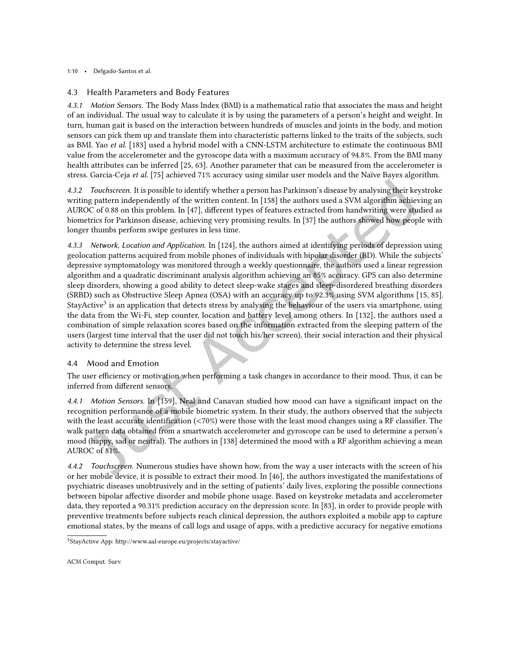1:10 • Delgado-Santos et al.

#### 4.3 Health Parameters and Body Features

4.3.1 Motion Sensors. The Body Mass Index (BMI) is a mathematical ratio that associates the mass and height of an individual. The usual way to calculate it is by using the parameters of a person's height and weight. In turn, human gait is based on the interaction between hundreds of muscles and joints in the body, and motion sensors can pick them up and translate them into characteristic patterns linked to the traits of the subjects, such as BMI. Yao et al. [\[183\]](#page--1-73) used a hybrid model with a CNN-LSTM architecture to estimate the continuous BMI value from the accelerometer and the gyroscope data with a maximum accuracy of 94.8%. From the BMI many health attributes can be inferred [\[25,](#page--1-83) [63\]](#page--1-84). Another parameter that can be measured from the accelerometer is stress. Garcia-Ceja et al. [\[75\]](#page--1-85) achieved 71% accuracy using similar user models and the Naïve Bayes algorithm.

4.3.2 Touchscreen. It is possible to identify whether a person has Parkinson's disease by analysing their keystroke writing pattern independently of the written content. In [\[158\]](#page--1-74) the authors used a SVM algorithm achieving an AUROC of 0.88 on this problem. In [\[47\]](#page--1-86), diferent types of features extracted from handwriting were studied as biometrics for Parkinson disease, achieving very promising results. In [\[37\]](#page--1-84) the authors showed how people with longer thumbs perform swipe gestures in less time.

4.3.3 Network, Location and Application. In [\[124\]](#page--1-75), the authors aimed at identifying periods of depression using geolocation patterns acquired from mobile phones of individuals with bipolar disorder (BD). While the subjects' depressive symptomatology was monitored through a weekly questionnaire, the authors used a linear regression algorithm and a quadratic discriminant analysis algorithm achieving an 85% accuracy. GPS can also determine sleep disorders, showing a good ability to detect sleep-wake stages and sleep-disordered breathing disorders (SRBD) such as Obstructive Sleep Apnea (OSA) with an accuracy up to 92.3% using SVM algorithms [\[15,](#page--1-56) [85\]](#page--1-87). StayActive<sup>[3](#page--1-88)</sup> is an application that detects stress by analysing the behaviour of the users via smartphone, using the data from the Wi-Fi, step counter, location and battery level among others. In [\[132\]](#page--1-35), the authors used a combination of simple relaxation scores based on the information extracted from the sleeping pattern of the users (largest time interval that the user did not touch his/her screen), their social interaction and their physical activity to determine the stress level.

#### 4.4 Mood and Emotion

The user efficiency or motivation when performing a task changes in accordance to their mood. Thus, it can be inferred from diferent sensors.

4.4.1 Motion Sensors. In [\[159\]](#page--1-77), Neal and Canavan studied how mood can have a significant impact on the recognition performance of a mobile biometric system. In their study, the authors observed that the subjects with the least accurate identification  $\left($  <70%) were those with the least mood changes using a RF classifier. The walk pattern data obtained from a smartwatch accelerometer and gyroscope can be used to determine a person's mood (happy, sad or neutral). The authors in [\[138\]](#page--1-76) determined the mood with a RF algorithm achieving a mean AUROC of 81%.

4.4.2 Touchscreen. Numerous studies have shown how, from the way a user interacts with the screen of his or her mobile device, it is possible to extract their mood. In [\[46\]](#page--1-38), the authors investigated the manifestations of psychiatric diseases unobtrusively and in the setting of patients' daily lives, exploring the possible connections between bipolar afective disorder and mobile phone usage. Based on keystroke metadata and accelerometer data, they reported a 90.31% prediction accuracy on the depression score. In [\[83\]](#page--1-51), in order to provide people with preventive treatments before subjects reach clinical depression, the authors exploited a mobile app to capture emotional states, by the means of call logs and usage of apps, with a predictive accuracy for negative emotions

<sup>3</sup>StayActive App: http://www.aal-europe.eu/projects/stayactive/

ACM Comput. Surv.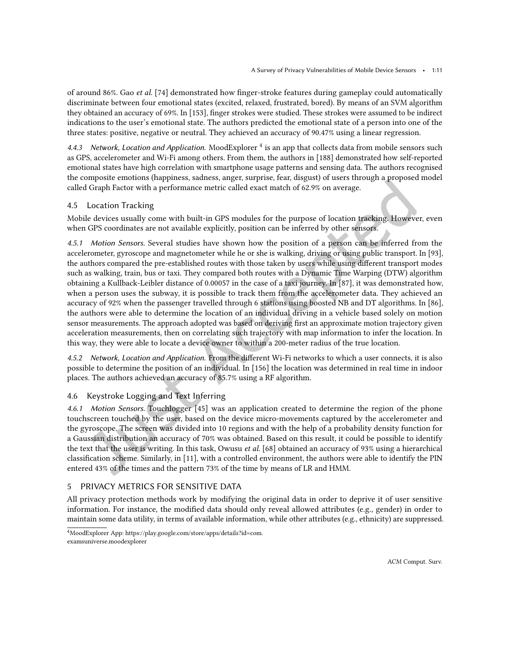of around 86%. Gao et al. [\[74\]](#page--1-78) demonstrated how finger-stroke features during gameplay could automatically discriminate between four emotional states (excited, relaxed, frustrated, bored). By means of an SVM algorithm they obtained an accuracy of 69%. In [\[153\]](#page--1-75), finger strokes were studied. These strokes were assumed to be indirect indications to the user's emotional state. The authors predicted the emotional state of a person into one of the three states: positive, negative or neutral. They achieved an accuracy of 90.47% using a linear regression.

[4](#page--1-89).4.3 Network, Location and Application. MoodExplorer <sup>4</sup> is an app that collects data from mobile sensors such as GPS, accelerometer and Wi-Fi among others. From them, the authors in [\[188\]](#page--1-42) demonstrated how self-reported emotional states have high correlation with smartphone usage patterns and sensing data. The authors recognised the composite emotions (happiness, sadness, anger, surprise, fear, disgust) of users through a proposed model called Graph Factor with a performance metric called exact match of 62.9% on average.

#### 4.5 Location Tracking

Mobile devices usually come with built-in GPS modules for the purpose of location tracking. However, even when GPS coordinates are not available explicitly, position can be inferred by other sensors.

4.5.1 Motion Sensors. Several studies have shown how the position of a person can be inferred from the accelerometer, gyroscope and magnetometer while he or she is walking, driving or using public transport. In [\[93\]](#page--1-45), the authors compared the pre-established routes with those taken by users while using diferent transport modes such as walking, train, bus or taxi. They compared both routes with a Dynamic Time Warping (DTW) algorithm obtaining a Kullback-Leibler distance of 0.00057 in the case of a taxi journey. In [\[87\]](#page--1-13), it was demonstrated how, when a person uses the subway, it is possible to track them from the accelerometer data. They achieved an accuracy of 92% when the passenger travelled through 6 stations using boosted NB and DT algorithms. In [\[86\]](#page--1-71), the authors were able to determine the location of an individual driving in a vehicle based solely on motion sensor measurements. The approach adopted was based on deriving first an approximate motion trajectory given acceleration measurements, then on correlating such trajectory with map information to infer the location. In this way, they were able to locate a device owner to within a 200-meter radius of the true location.

4.5.2 Network, Location and Application. From the diferent Wi-Fi networks to which a user connects, it is also possible to determine the position of an individual. In [\[156\]](#page--1-73) the location was determined in real time in indoor places. The authors achieved an accuracy of 85.7% using a RF algorithm.

#### 4.6 Keystroke Logging and Text Inferring

4.6.1 Motion Sensors. Touchlogger [\[45\]](#page--1-79) was an application created to determine the region of the phone touchscreen touched by the user, based on the device micro-movements captured by the accelerometer and the gyroscope. The screen was divided into 10 regions and with the help of a probability density function for a Gaussian distribution an accuracy of 70% was obtained. Based on this result, it could be possible to identify the text that the user is writing. In this task, Owusu *et al.* [\[68\]](#page--1-56) obtained an accuracy of 93% using a hierarchical classiication scheme. Similarly, in [\[11\]](#page--1-80), with a controlled environment, the authors were able to identify the PIN entered 43% of the times and the pattern 73% of the time by means of LR and HMM.

#### 5 PRIVACY METRICS FOR SENSITIVE DATA

All privacy protection methods work by modifying the original data in order to deprive it of user sensitive information. For instance, the modified data should only reveal allowed attributes (e.g., gender) in order to maintain some data utility, in terms of available information, while other attributes (e.g., ethnicity) are suppressed.

<sup>4</sup>MoodExplorer App: https://play.google.com/store/apps/details?id=com. examsuniverse.moodexplorer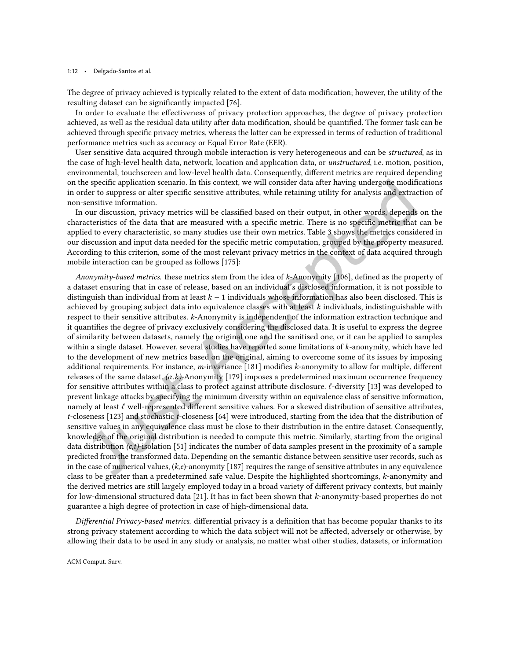#### 1:12 • Delgado-Santos et al.

The degree of privacy achieved is typically related to the extent of data modification; however, the utility of the resulting dataset can be significantly impacted [\[76\]](#page--1-9).

In order to evaluate the efectiveness of privacy protection approaches, the degree of privacy protection achieved, as well as the residual data utility after data modiication, should be quantiied. The former task can be achieved through speciic privacy metrics, whereas the latter can be expressed in terms of reduction of traditional performance metrics such as accuracy or Equal Error Rate (EER).

User sensitive data acquired through mobile interaction is very heterogeneous and can be structured, as in the case of high-level health data, network, location and application data, or *unstructured*, i.e. motion, position, environmental, touchscreen and low-level health data. Consequently, diferent metrics are required depending on the speciic application scenario. In this context, we will consider data after having undergone modiications in order to suppress or alter specific sensitive attributes, while retaining utility for analysis and extraction of non-sensitive information.

In our discussion, privacy metrics will be classified based on their output, in other words, depends on the characteristics of the data that are measured with a speciic metric. There is no speciic metric that can be applied to every characteristic, so many studies use their own metrics. Table [3](#page--1-33) shows the metrics considered in our discussion and input data needed for the speciic metric computation, grouped by the property measured. According to this criterion, some of the most relevant privacy metrics in the context of data acquired through mobile interaction can be grouped as follows [\[175\]](#page--1-53):

Anonymity-based metrics. these metrics stem from the idea of k-Anonymity [\[106\]](#page--1-90), defined as the property of a dataset ensuring that in case of release, based on an individual's disclosed information, it is not possible to distinguish than individual from at least  $k - 1$  individuals whose information has also been disclosed. This is achieved by grouping subject data into equivalence classes with at least  $k$  individuals, indistinguishable with respect to their sensitive attributes. k-Anonymity is independent of the information extraction technique and it quantifies the degree of privacy exclusively considering the disclosed data. It is useful to express the degree of similarity between datasets, namely the original one and the sanitised one, or it can be applied to samples within a single dataset. However, several studies have reported some limitations of k-anonymity, which have led to the development of new metrics based on the original, aiming to overcome some of its issues by imposing additional requirements. For instance, m-invariance [\[181\]](#page--1-75) modiies k-anonymity to allow for multiple, diferent releases of the same dataset.  $(\alpha, k)$ -Anonymity [\[179\]](#page--1-82) imposes a predetermined maximum occurrence frequency for sensitive attributes within a class to protect against attribute disclosure.  $\ell$ -diversity [\[13\]](#page--1-91) was developed to prevent linkage attacks by specifying the minimum diversity within an equivalence class of sensitive information, namely at least  $\ell$  well-represented different sensitive values. For a skewed distribution of sensitive attributes, t-closeness [\[123\]](#page--1-92) and stochastic t-closeness [\[64\]](#page--1-93) were introduced, starting from the idea that the distribution of sensitive values in any equivalence class must be close to their distribution in the entire dataset. Consequently, knowledge of the original distribution is needed to compute this metric. Similarly, starting from the original data distribution  $(c, t)$ -isolation [\[51\]](#page--1-49) indicates the number of data samples present in the proximity of a sample predicted from the transformed data. Depending on the semantic distance between sensitive user records, such as in the case of numerical values,  $(k,e)$ -anonymity [\[187\]](#page--1-24) requires the range of sensitive attributes in any equivalence class to be greater than a predetermined safe value. Despite the highlighted shortcomings, k-anonymity and the derived metrics are still largely employed today in a broad variety of diferent privacy contexts, but mainly for low-dimensional structured data [\[21\]](#page--1-23). It has in fact been shown that k-anonymity-based properties do not guarantee a high degree of protection in case of high-dimensional data.

Differential Privacy-based metrics. differential privacy is a definition that has become popular thanks to its strong privacy statement according to which the data subject will not be afected, adversely or otherwise, by allowing their data to be used in any study or analysis, no matter what other studies, datasets, or information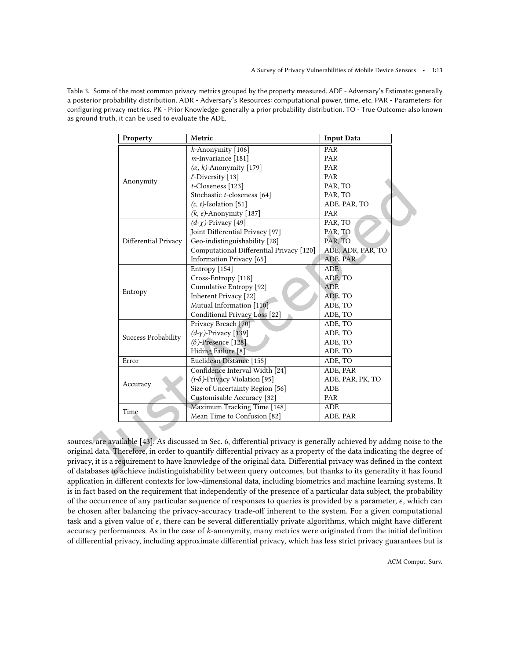Table 3. Some of the most common privacy metrics grouped by the property measured. ADE - Adversary's Estimate: generally a posterior probability distribution. ADR - Adversary's Resources: computational power, time, etc. PAR - Parameters: for configuring privacy metrics. PK - Prior Knowledge: generally a prior probability distribution. TO - True Outcome: also known as ground truth, it can be used to evaluate the ADE.

| Property             | Metric                                   | <b>Input Data</b> |  |
|----------------------|------------------------------------------|-------------------|--|
|                      | $k$ -Anonymity [106]                     | PAR               |  |
|                      | m-Invariance [181]                       | PAR               |  |
|                      | $(\alpha, k)$ -Anonymity [179]           | PAR               |  |
|                      | $\ell$ -Diversity [13]                   | PAR               |  |
| Anonymity            | $t$ -Closeness [123]                     | PAR, TO           |  |
|                      | Stochastic t-closeness [64]              | PAR, TO           |  |
|                      | $(c, t)$ -Isolation [51]                 | ADE, PAR, TO      |  |
|                      | $(k, e)$ -Anonymity [187]                | PAR               |  |
|                      | $(d-\gamma)$ -Privacy [49]               | PAR, TO           |  |
|                      | Joint Differential Privacy [97]          | PAR, TO           |  |
| Differential Privacy | Geo-indistinguishability [28]            | PAR, TO           |  |
|                      | Computational Differential Privacy [120] | ADE, ADR, PAR, TO |  |
|                      | Information Privacy [65]                 | ADE, PAR          |  |
|                      | Entropy [154]                            | <b>ADE</b>        |  |
|                      | Cross-Entropy [118]                      | ADE. TO           |  |
|                      | Cumulative Entropy [92]                  | <b>ADE</b>        |  |
| Entropy              | Inherent Privacy [22]                    | ADE, TO           |  |
|                      | Mutual Information [110]                 | ADE, TO           |  |
|                      | Conditional Privacy Loss [22]            | ADE, TO           |  |
|                      | Privacy Breach [70]                      | ADE, TO           |  |
| Success Probability  | $(d-y)$ -Privacy [139]                   | ADE, TO           |  |
|                      | $(\delta)$ -Presence [128]               | ADE, TO           |  |
|                      | Hiding Failure [8]                       | ADE, TO           |  |
| Error                | Euclidean Distance [155]                 | ADE, TO           |  |
|                      | Confidence Interval Width [24]           | ADE, PAR          |  |
| Accuracy             | $(t-\delta)$ -Privacy Violation [95]     | ADE, PAR, PK, TO  |  |
|                      | Size of Uncertainty Region [56]          | <b>ADE</b>        |  |
|                      | Customisable Accuracy [32]               | PAR               |  |
| Time                 | Maximum Tracking Time [148]              | ADE               |  |
|                      | Mean Time to Confusion [82]              | ADE, PAR          |  |

sources, are available [\[43\]](#page--1-16). As discussed in Sec. [6,](#page--1-29) diferential privacy is generally achieved by adding noise to the original data. Therefore, in order to quantify diferential privacy as a property of the data indicating the degree of privacy, it is a requirement to have knowledge of the original data. Diferential privacy was deined in the context of databases to achieve indistinguishability between query outcomes, but thanks to its generality it has found application in diferent contexts for low-dimensional data, including biometrics and machine learning systems. It is in fact based on the requirement that independently of the presence of a particular data subject, the probability of the occurrence of any particular sequence of responses to queries is provided by a parameter,  $\epsilon$ , which can be chosen after balancing the privacy-accuracy trade-of inherent to the system. For a given computational task and a given value of  $\epsilon$ , there can be several differentially private algorithms, which might have different accuracy performances. As in the case of  $k$ -anonymity, many metrics were originated from the initial definition of diferential privacy, including approximate diferential privacy, which has less strict privacy guarantees but is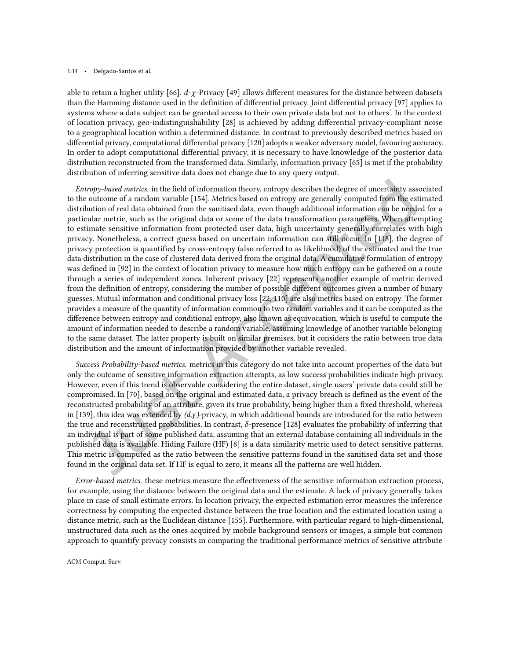#### 1:14 • Delgado-Santos et al.

able to retain a higher utility [\[66\]](#page--1-91).  $d-\chi$ -Privacy [\[49\]](#page--1-94) allows different measures for the distance between datasets than the Hamming distance used in the deinition of diferential privacy. Joint diferential privacy [\[97\]](#page--1-0) applies to systems where a data subject can be granted access to their own private data but not to others'. In the context of location privacy, geo-indistinguishability [\[28\]](#page--1-95) is achieved by adding diferential privacy-compliant noise to a geographical location within a determined distance. In contrast to previously described metrics based on diferential privacy, computational diferential privacy [\[120\]](#page--1-48) adopts a weaker adversary model, favouring accuracy. In order to adopt computational diferential privacy, it is necessary to have knowledge of the posterior data distribution reconstructed from the transformed data. Similarly, information privacy [\[65\]](#page--1-45) is met if the probability distribution of inferring sensitive data does not change due to any query output.

Entropy-based metrics. in the ield of information theory, entropy describes the degree of uncertainty associated to the outcome of a random variable [\[154\]](#page--1-72). Metrics based on entropy are generally computed from the estimated distribution of real data obtained from the sanitised data, even though additional information can be needed for a particular metric, such as the original data or some of the data transformation parameters. When attempting to estimate sensitive information from protected user data, high uncertainty generally correlates with high privacy. Nonetheless, a correct guess based on uncertain information can still occur. In [\[118\]](#page--1-47), the degree of privacy protection is quantiied by cross-entropy (also referred to as likelihood) of the estimated and the true data distribution in the case of clustered data derived from the original data. A cumulative formulation of entropy was defined in [\[92\]](#page--1-96) in the context of location privacy to measure how much entropy can be gathered on a route through a series of independent zones. Inherent privacy [\[22\]](#page--1-97) represents another example of metric derived from the definition of entropy, considering the number of possible different outcomes given a number of binary guesses. Mutual information and conditional privacy loss [\[22,](#page--1-97) [110\]](#page--1-39) are also metrics based on entropy. The former provides a measure of the quantity of information common to two random variables and it can be computed as the diference between entropy and conditional entropy, also known as equivocation, which is useful to compute the amount of information needed to describe a random variable, assuming knowledge of another variable belonging to the same dataset. The latter property is built on similar premises, but it considers the ratio between true data distribution and the amount of information provided by another variable revealed.

Success Probability-based metrics. metrics in this category do not take into account properties of the data but only the outcome of sensitive information extraction attempts, as low success probabilities indicate high privacy. However, even if this trend is observable considering the entire dataset, single users' private data could still be compromised. In [\[70\]](#page--1-34), based on the original and estimated data, a privacy breach is defined as the event of the reconstructed probability of an attribute, given its true probability, being higher than a fixed threshold, whereas in [\[139\]](#page--1-98), this idea was extended by  $(d, \gamma)$ -privacy, in which additional bounds are introduced for the ratio between the true and reconstructed probabilities. In contrast,  $\delta$ -presence [\[128\]](#page--1-74) evaluates the probability of inferring that an individual is part of some published data, assuming that an external database containing all individuals in the published data is available. Hiding Failure (HF) [\[8\]](#page--1-99) is a data similarity metric used to detect sensitive patterns. This metric is computed as the ratio between the sensitive patterns found in the sanitised data set and those found in the original data set. If HF is equal to zero, it means all the patterns are well hidden.

Error-based metrics. these metrics measure the efectiveness of the sensitive information extraction process, for example, using the distance between the original data and the estimate. A lack of privacy generally takes place in case of small estimate errors. In location privacy, the expected estimation error measures the inference correctness by computing the expected distance between the true location and the estimated location using a distance metric, such as the Euclidean distance [\[155\]](#page--1-100). Furthermore, with particular regard to high-dimensional, unstructured data such as the ones acquired by mobile background sensors or images, a simple but common approach to quantify privacy consists in comparing the traditional performance metrics of sensitive attribute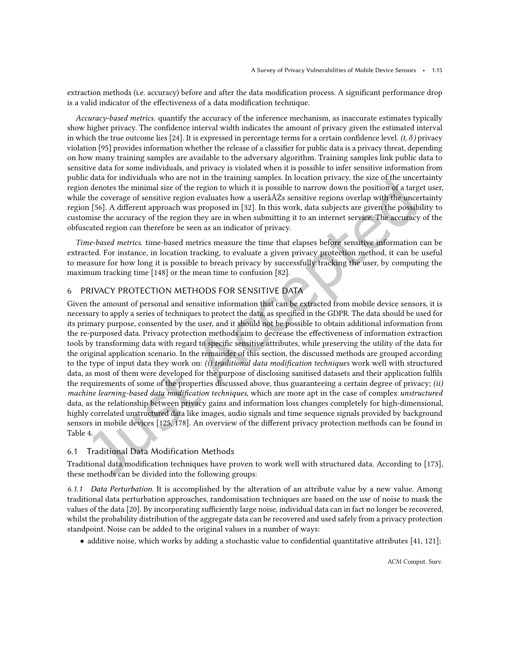extraction methods (i.e. accuracy) before and after the data modification process. A significant performance drop is a valid indicator of the effectiveness of a data modification technique.

Accuracy-based metrics. quantify the accuracy of the inference mechanism, as inaccurate estimates typically show higher privacy. The confidence interval width indicates the amount of privacy given the estimated interval in which the true outcome lies [\[24\]](#page--1-14). It is expressed in percentage terms for a certain confidence level.  $(t, \delta)$  privacy violation [\[95\]](#page--1-60) provides information whether the release of a classifier for public data is a privacy threat, depending on how many training samples are available to the adversary algorithm. Training samples link public data to sensitive data for some individuals, and privacy is violated when it is possible to infer sensitive information from public data for individuals who are not in the training samples. In location privacy, the size of the uncertainty region denotes the minimal size of the region to which it is possible to narrow down the position of a target user, while the coverage of sensitive region evaluates how a userâĂŹs sensitive regions overlap with the uncertainty region [\[56\]](#page--1-52). A diferent approach was proposed in [\[32\]](#page--1-101). In this work, data subjects are given the possibility to customise the accuracy of the region they are in when submitting it to an internet service. The accuracy of the obfuscated region can therefore be seen as an indicator of privacy.

Time-based metrics. time-based metrics measure the time that elapses before sensitive information can be extracted. For instance, in location tracking, to evaluate a given privacy protection method, it can be useful to measure for how long it is possible to breach privacy by successfully tracking the user, by computing the maximum tracking time [\[148\]](#page--1-47) or the mean time to confusion [\[82\]](#page--1-70).

#### 6 PRIVACY PROTECTION METHODS FOR SENSITIVE DATA

Given the amount of personal and sensitive information that can be extracted from mobile device sensors, it is necessary to apply a series of techniques to protect the data, as speciied in the GDPR. The data should be used for its primary purpose, consented by the user, and it should not be possible to obtain additional information from the re-purposed data. Privacy protection methods aim to decrease the efectiveness of information extraction tools by transforming data with regard to specific sensitive attributes, while preserving the utility of the data for the original application scenario. In the remainder of this section, the discussed methods are grouped according to the type of input data they work on: (i) traditional data modification techniques work well with structured data, as most of them were developed for the purpose of disclosing sanitised datasets and their application fulils the requirements of some of the properties discussed above, thus guaranteeing a certain degree of privacy; (ii) machine learning-based data modification techniques, which are more apt in the case of complex unstructured data, as the relationship between privacy gains and information loss changes completely for high-dimensional, highly correlated unstructured data like images, audio signals and time sequence signals provided by background sensors in mobile devices [\[125,](#page--1-72) [178\]](#page--1-48). An overview of the diferent privacy protection methods can be found in Table [4.](#page--1-33)

#### 6.1 Traditional Data Modification Methods

Traditional data modiication techniques have proven to work well with structured data. According to [\[173\]](#page--1-62), these methods can be divided into the following groups:

6.1.1 Data Perturbation. It is accomplished by the alteration of an attribute value by a new value. Among traditional data perturbation approaches, randomisation techniques are based on the use of noise to mask the values of the data [\[20\]](#page--1-102). By incorporating sufficiently large noise, individual data can in fact no longer be recovered, whilst the probability distribution of the aggregate data can be recovered and used safely from a privacy protection standpoint. Noise can be added to the original values in a number of ways:

• additive noise, which works by adding a stochastic value to confidential quantitative attributes [\[41,](#page--1-103) [121\]](#page--1-82);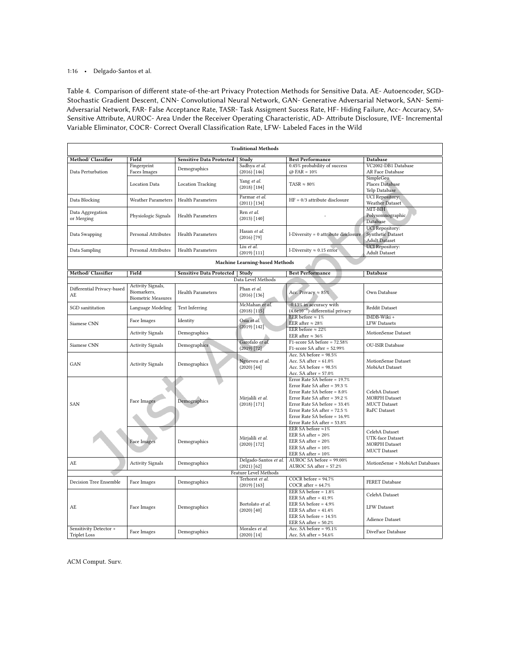#### 1:16 • Delgado-Santos et al.

Table 4. Comparison of diferent state-of-the-art Privacy Protection Methods for Sensitive Data. AE- Autoencoder, SGD-Stochastic Gradient Descent, CNN- Convolutional Neural Network, GAN- Generative Adversarial Network, SAN- Semi-Adversarial Network, FAR- False Acceptance Rate, TASR- Task Assigment Sucess Rate, HF- Hiding Failure, Acc- Accuracy, SA-Sensitive Atribute, AUROC- Area Under the Receiver Operating Characteristic, AD- Atribute Disclosure, IVE- Incremental Variable Eliminator, COCR- Correct Overall Classification Rate, LFW- Labeled Faces in the Wild

|                                  | <b>Traditional Methods</b> |                                  |                                |                                                                   |                                           |  |  |
|----------------------------------|----------------------------|----------------------------------|--------------------------------|-------------------------------------------------------------------|-------------------------------------------|--|--|
| Method/ Classifier               | Field                      | <b>Sensitive Data Protected</b>  | Study                          | <b>Best Performance</b>                                           | <b>Database</b>                           |  |  |
|                                  | Fingerprint                | Demographics                     | Sadhya et al.                  | 0.45% probability of success                                      | VC2002-DB1 Database                       |  |  |
| Data Perturbation                | <b>Faces Images</b>        |                                  | (2016) [146]                   | $@$ FAR = 10%                                                     | AR Face Database                          |  |  |
|                                  |                            |                                  | Yang et al.                    |                                                                   | SimpleGeo                                 |  |  |
|                                  | <b>Location Data</b>       | <b>Location Tracking</b>         | $(2018)$ [184]                 | $TASR \approx 80\%$                                               | Places Database<br>Yelp Database          |  |  |
|                                  |                            |                                  | Parmar et al.                  |                                                                   | <b>UCI</b> Repository:                    |  |  |
| Data Blocking                    | <b>Weather Parameters</b>  | <b>Health Parameters</b>         | $(2011)$ [134]                 | $HF = 0/3$ attribute disclosure                                   | <b>Weather Dataset</b>                    |  |  |
|                                  |                            |                                  | Ren et al.                     |                                                                   | MIT-BIH                                   |  |  |
| Data Aggregation<br>or Merging   | Physiologic Signals        | <b>Health Parameters</b>         | (2013) [140]                   |                                                                   | Polysomnographic                          |  |  |
|                                  |                            |                                  |                                |                                                                   | Database                                  |  |  |
|                                  |                            |                                  | Hasan et al.                   |                                                                   | <b>UCI</b> Repository:                    |  |  |
| Data Swapping                    | Personal Attributes        | <b>Health Parameters</b>         | $(2016)$ [79]                  | l-Diversity = 0 attribute disclosure                              | Synthetic Dataset<br><b>Adult Dataset</b> |  |  |
|                                  |                            |                                  | Liu et al.                     |                                                                   | <b>UCI</b> Repository:                    |  |  |
| Data Sampling                    | <b>Personal Attributes</b> | <b>Health Parameters</b>         | $(2019)$ [111]                 | l-Diversity $\approx 0.15$ error                                  | <b>Adult Dataset</b>                      |  |  |
|                                  |                            |                                  | Machine Learning-based Methods |                                                                   |                                           |  |  |
| Method/ Classifier               | Field                      | Sensitive Data Protected   Study |                                | <b>Best Performance</b>                                           | Database                                  |  |  |
|                                  |                            |                                  | Data Level Methods             |                                                                   |                                           |  |  |
|                                  | Activity Signals,          |                                  |                                |                                                                   |                                           |  |  |
| Differential Privacy-based<br>AE | Biomarkers,                | <b>Health Parameters</b>         | Phan et al.<br>$(2016)$ [136]  | Acc. Privacy $\approx 85\%$                                       | Own Database                              |  |  |
|                                  | <b>Biometric Measures</b>  |                                  |                                |                                                                   |                                           |  |  |
| SGD sanititation                 | Language Modeling          | Text Inferring                   | McMahan et al.                 | -0.13% in accuracy with                                           | <b>Reddit Dataset</b>                     |  |  |
|                                  |                            |                                  | (2018) [115]                   | $(4.6e10^{-9})$ -differential privacy<br>EER before $\approx 1\%$ | IMDB-Wiki +                               |  |  |
| Siamese CNN                      | Face Images                | Identity                         | Osia et al.                    | EER after $\approx 28\%$                                          | <b>LFW</b> Datasets                       |  |  |
|                                  |                            |                                  | $(2019)$ [142]                 | EER before $\approx 22\%$                                         |                                           |  |  |
|                                  | <b>Activity Signals</b>    | Demographics                     |                                | EER after $\approx 36\%$                                          | MotionSense Dataset                       |  |  |
| Siamese CNN                      | <b>Activity Signals</b>    | Demographics                     | Garofalo et al.                | $F1$ -score SA before = 72.58%                                    | <b>OU-ISIR</b> Database                   |  |  |
|                                  |                            |                                  | $(2019)$ [72]                  | $F1$ -score SA after = 52.99%                                     |                                           |  |  |
|                                  |                            |                                  | Ngueveu et al.                 | Acc. SA before = $98.5%$<br>Acc. SA after $= 61.0\%$              | MotionSense Dataset                       |  |  |
| GAN                              | <b>Activity Signals</b>    | Demographics                     | $(2020)$ [44]                  | Acc. SA before = $98.5%$                                          | MobiAct Dataset                           |  |  |
|                                  |                            |                                  |                                | Acc. SA after $= 57.0\%$                                          |                                           |  |  |
|                                  |                            |                                  |                                | Error Rate SA before = 19.7%                                      |                                           |  |  |
|                                  |                            |                                  |                                | Error Rate SA after = $39.3\%$                                    |                                           |  |  |
|                                  |                            |                                  |                                | Error Rate SA before = 8.0%                                       | CelebA Dataset                            |  |  |
|                                  | <b>Face Images</b>         | Demographics                     | Mirjalili et al.               | Error Rate SA after = 39.2 %                                      | <b>MORPH</b> Dataset                      |  |  |
| SAN                              |                            |                                  | $(2018)$ [171]                 | Error Rate SA before = 33.4%<br>Error Rate SA after = 72.5 %      | <b>MUCT</b> Dataset<br>RaFC Dataset       |  |  |
|                                  |                            |                                  |                                | Error Rate SA before = 16.9%                                      |                                           |  |  |
|                                  |                            |                                  |                                | Error Rate SA after = 53.8%                                       |                                           |  |  |
|                                  |                            |                                  |                                | EER SA before ≈1%                                                 | CelebA Dataset                            |  |  |
|                                  |                            |                                  | Mirjalili et al.               | EER SA after $= 20\%$                                             | <b>UTK-face Dataset</b>                   |  |  |
|                                  | <b>Face Images</b>         | Demographics                     | $(2020)$ [172]                 | EER SA after $= 20\%$                                             | <b>MORPH</b> Dataset                      |  |  |
|                                  |                            |                                  |                                | EER SA after $= 10\%$<br>EER SA after $= 10\%$                    | <b>MUCT</b> Dataset                       |  |  |
|                                  |                            |                                  | Delgado-Santos et al.          | AUROC SA before = 99.00%                                          |                                           |  |  |
| AE                               | <b>Activity Signals</b>    | Demographics                     | (2021) [62]                    | AUROC SA after = 57.2%                                            | MotionSense + MobiAct Databases           |  |  |
| <b>Feature Level Methods</b>     |                            |                                  |                                |                                                                   |                                           |  |  |
| Decision Tree Ensemble           | Face Images                | Demographics                     | Terhorst et al.                | COCR before = $94.7%$                                             | <b>FERET Database</b>                     |  |  |
|                                  |                            |                                  | $(2019)$ [163]                 | COCR after = $64.7%$                                              |                                           |  |  |
|                                  |                            |                                  |                                | EER SA before $= 1.8\%$                                           | CelebA Dataset                            |  |  |
|                                  |                            |                                  | Bortolato et al.               | EER SA after $= 41.9%$<br>EER SA before $= 4.9\%$                 |                                           |  |  |
| AE                               | Face Images                | Demographics                     | (2020) [40]                    | EER SA after = $41.4\%$                                           | <b>LFW</b> Dataset                        |  |  |
|                                  |                            |                                  |                                | EER SA before = 14.5%                                             |                                           |  |  |
|                                  |                            |                                  |                                | EER SA after = $50.2%$                                            | Adience Dataset                           |  |  |
| Sensitivity Detector +           | Face Images                | Demographics                     | Morales et al.                 | Acc. SA before = $95.1\%$                                         | DiveFace Database                         |  |  |
| <b>Triplet Loss</b>              |                            |                                  | $(2020)$ [14]                  | Acc. SA after $= 54.6\%$                                          |                                           |  |  |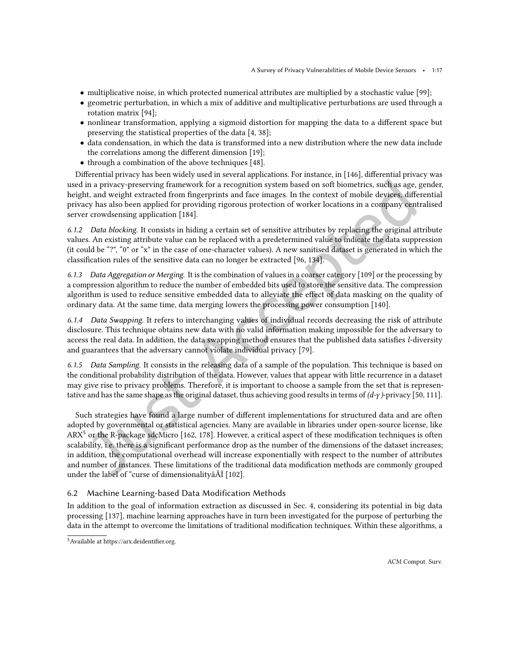- multiplicative noise, in which protected numerical attributes are multiplied by a stochastic value [\[99\]](#page--1-110);
- geometric perturbation, in which a mix of additive and multiplicative perturbations are used through a rotation matrix [\[94\]](#page--1-91);
- nonlinear transformation, applying a sigmoid distortion for mapping the data to a diferent space but preserving the statistical properties of the data [\[4,](#page--1-111) [38\]](#page--1-93);
- data condensation, in which the data is transformed into a new distribution where the new data include the correlations among the diferent dimension [\[19\]](#page--1-86);
- through a combination of the above techniques [\[48\]](#page--1-112).

Diferential privacy has been widely used in several applications. For instance, in [\[146\]](#page--1-18), diferential privacy was used in a privacy-preserving framework for a recognition system based on soft biometrics, such as age, gender, height, and weight extracted from ingerprints and face images. In the context of mobile devices, diferential privacy has also been applied for providing rigorous protection of worker locations in a company centralised server crowdsensing application [\[184\]](#page--1-55).

6.1.2 Data blocking. It consists in hiding a certain set of sensitive attributes by replacing the original attribute values. An existing attribute value can be replaced with a predetermined value to indicate the data suppression (it could be  $\degree$ ?",  $\degree$ 0" or  $\degree$ x" in the case of one-character values). A new sanitised dataset is generated in which the classification rules of the sensitive data can no longer be extracted [\[96,](#page--1-56) [134\]](#page--1-69).

6.1.3 Data Aggregation or Merging. It is the combination of values in a coarser category [\[109\]](#page--1-37) or the processing by a compression algorithm to reduce the number of embedded bits used to store the sensitive data. The compression algorithm is used to reduce sensitive embedded data to alleviate the efect of data masking on the quality of ordinary data. At the same time, data merging lowers the processing power consumption [\[140\]](#page--1-104).

6.1.4 Data Swapping. It refers to interchanging values of individual records decreasing the risk of attribute disclosure. This technique obtains new data with no valid information making impossible for the adversary to access the real data. In addition, the data swapping method ensures that the published data satisies l-diversity and guarantees that the adversary cannot violate individual privacy [\[79\]](#page--1-105).

6.1.5 Data Sampling. It consists in the releasing data of a sample of the population. This technique is based on the conditional probability distribution of the data. However, values that appear with little recurrence in a dataset may give rise to privacy problems. Therefore, it is important to choose a sample from the set that is representative and has the same shape as the original dataset, thus achieving good results in terms of  $(d-y)$ -privacy [\[50,](#page--1-113) [111\]](#page--1-106).

Such strategies have found a large number of diferent implementations for structured data and are often adopted by governmental or statistical agencies. Many are available in libraries under open-source license, like  $ARX<sup>5</sup>$  $ARX<sup>5</sup>$  $ARX<sup>5</sup>$  or the R-package sdcMicro [\[162,](#page--1-69) [178\]](#page--1-48). However, a critical aspect of these modification techniques is often scalability, i.e. there is a significant performance drop as the number of the dimensions of the dataset increases; in addition, the computational overhead will increase exponentially with respect to the number of attributes and number of instances. These limitations of the traditional data modiication methods are commonly grouped under the label of "curse of dimensionalityâÅİ [\[102\]](#page--1-61).

#### 6.2 Machine Learning-based Data Modification Methods

In addition to the goal of information extraction as discussed in Sec. [4,](#page--1-27) considering its potential in big data processing [\[137\]](#page--1-114), machine learning approaches have in turn been investigated for the purpose of perturbing the data in the attempt to overcome the limitations of traditional modiication techniques. Within these algorithms, a

 $5$ Available at https://arx.deidentifier.org.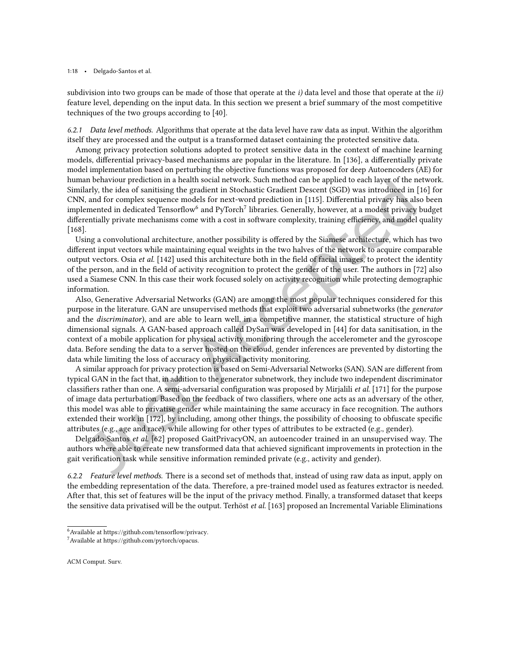subdivision into two groups can be made of those that operate at the  $i$ ) data level and those that operate at the  $ii$ ) feature level, depending on the input data. In this section we present a brief summary of the most competitive techniques of the two groups according to [\[40\]](#page--1-91).

6.2.1 Data level methods. Algorithms that operate at the data level have raw data as input. Within the algorithm itself they are processed and the output is a transformed dataset containing the protected sensitive data.

Among privacy protection solutions adopted to protect sensitive data in the context of machine learning models, diferential privacy-based mechanisms are popular in the literature. In [\[136\]](#page--1-107), a diferentially private model implementation based on perturbing the objective functions was proposed for deep Autoencoders (AE) for human behaviour prediction in a health social network. Such method can be applied to each layer of the network. Similarly, the idea of sanitising the gradient in Stochastic Gradient Descent (SGD) was introduced in [\[16\]](#page--1-0) for CNN, and for complex sequence models for next-word prediction in [\[115\]](#page--1-62). Diferential privacy has also been implemented in dedicated Tensorflow $^6$  $^6$  and PyTorch $^7$  $^7$  libraries. Generally, however, at a modest privacy budget differentially private mechanisms come with a cost in software complexity, training efficiency, and model quality [\[168\]](#page--1-106).

Using a convolutional architecture, another possibility is ofered by the Siamese architecture, which has two diferent input vectors while maintaining equal weights in the two halves of the network to acquire comparable output vectors. Osia *et al.* [\[142\]](#page--1-44) used this architecture both in the field of facial images, to protect the identity of the person, and in the ield of activity recognition to protect the gender of the user. The authors in [\[72\]](#page--1-86) also used a Siamese CNN. In this case their work focused solely on activity recognition while protecting demographic information.

Also, Generative Adversarial Networks (GAN) are among the most popular techniques considered for this purpose in the literature. GAN are unsupervised methods that exploit two adversarial subnetworks (the generator and the discriminator), and are able to learn well, in a competitive manner, the statistical structure of high dimensional signals. A GAN-based approach called DySan was developed in [\[44\]](#page--1-108) for data sanitisation, in the context of a mobile application for physical activity monitoring through the accelerometer and the gyroscope data. Before sending the data to a server hosted on the cloud, gender inferences are prevented by distorting the data while limiting the loss of accuracy on physical activity monitoring.

A similar approach for privacy protection is based on Semi-Adversarial Networks (SAN). SAN are diferent from typical GAN in the fact that, in addition to the generator subnetwork, they include two independent discriminator classifiers rather than one. A semi-adversarial configuration was proposed by Mirjalili *et al.* [\[171\]](#page--1-54) for the purpose of image data perturbation. Based on the feedback of two classiiers, where one acts as an adversary of the other, this model was able to privatise gender while maintaining the same accuracy in face recognition. The authors extended their work in [\[172\]](#page--1-1), by including, among other things, the possibility of choosing to obfuscate speciic attributes (e.g., age and race), while allowing for other types of attributes to be extracted (e.g., gender).

Delgado-Santos et al. [\[62\]](#page--1-109) proposed GaitPrivacyON, an autoencoder trained in an unsupervised way. The authors where able to create new transformed data that achieved signiicant improvements in protection in the gait verification task while sensitive information reminded private (e.g., activity and gender).

6.2.2 Feature level methods. There is a second set of methods that, instead of using raw data as input, apply on the embedding representation of the data. Therefore, a pre-trained model used as features extractor is needed. After that, this set of features will be the input of the privacy method. Finally, a transformed dataset that keeps the sensitive data privatised will be the output. Terhöst *et al.* [\[163\]](#page--1-90) proposed an Incremental Variable Eliminations

<sup>6</sup>Available at [https://github.com/tensorlow/privacy.](https://github.com/tensorflow/privacy)

<sup>7</sup>Available at [https://github.com/pytorch/opacus.](https://github.com/pytorch/opacus)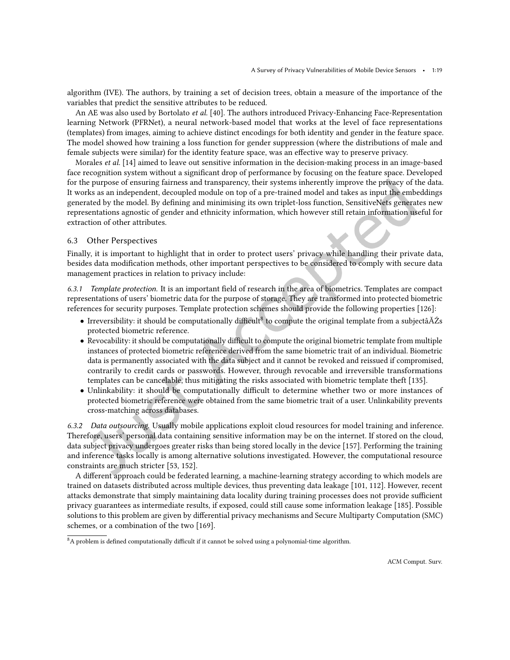algorithm (IVE). The authors, by training a set of decision trees, obtain a measure of the importance of the variables that predict the sensitive attributes to be reduced.

An AE was also used by Bortolato et al. [\[40\]](#page--1-91). The authors introduced Privacy-Enhancing Face-Representation learning Network (PFRNet), a neural network-based model that works at the level of face representations (templates) from images, aiming to achieve distinct encodings for both identity and gender in the feature space. The model showed how training a loss function for gender suppression (where the distributions of male and female subjects were similar) for the identity feature space, was an efective way to preserve privacy.

Morales et al. [\[14\]](#page--1-60) aimed to leave out sensitive information in the decision-making process in an image-based face recognition system without a significant drop of performance by focusing on the feature space. Developed for the purpose of ensuring fairness and transparency, their systems inherently improve the privacy of the data. It works as an independent, decoupled module on top of a pre-trained model and takes as input the embeddings generated by the model. By deining and minimising its own triplet-loss function, SensitiveNets generates new representations agnostic of gender and ethnicity information, which however still retain information useful for extraction of other attributes.

#### 6.3 Other Perspectives

Finally, it is important to highlight that in order to protect users' privacy while handling their private data, besides data modiication methods, other important perspectives to be considered to comply with secure data management practices in relation to privacy include:

6.3.1 Template protection. It is an important ield of research in the area of biometrics. Templates are compact representations of users' biometric data for the purpose of storage. They are transformed into protected biometric references for security purposes. Template protection schemes should provide the following properties [\[126\]](#page--1-73):

- Irreversibility: it should be computationally difficult<sup>[8](#page--1-88)</sup> to compute the original template from a subjectâ $\check{A}\acute{Z}s$ protected biometric reference.
- Revocability: it should be computationally difficult to compute the original biometric template from multiple instances of protected biometric reference derived from the same biometric trait of an individual. Biometric data is permanently associated with the data subject and it cannot be revoked and reissued if compromised, contrarily to credit cards or passwords. However, through revocable and irreversible transformations templates can be cancelable, thus mitigating the risks associated with biometric template theft [\[135\]](#page--1-90).
- Unlinkability: it should be computationally difficult to determine whether two or more instances of protected biometric reference were obtained from the same biometric trait of a user. Unlinkability prevents cross-matching across databases.

6.3.2 Data outsourcing. Usually mobile applications exploit cloud resources for model training and inference. Therefore, users' personal data containing sensitive information may be on the internet. If stored on the cloud, data subject privacy undergoes greater risks than being stored locally in the device [\[157\]](#page--1-55). Performing the training and inference tasks locally is among alternative solutions investigated. However, the computational resource constraints are much stricter [\[53,](#page--1-81) [152\]](#page--1-68).

A diferent approach could be federated learning, a machine-learning strategy according to which models are trained on datasets distributed across multiple devices, thus preventing data leakage [\[101,](#page--1-74) [112\]](#page--1-116). However, recent attacks demonstrate that simply maintaining data locality during training processes does not provide sufficient privacy guarantees as intermediate results, if exposed, could still cause some information leakage [\[185\]](#page--1-74). Possible solutions to this problem are given by diferential privacy mechanisms and Secure Multiparty Computation (SMC) schemes, or a combination of the two [\[169\]](#page--1-67).

 $8A$  problem is defined computationally difficult if it cannot be solved using a polynomial-time algorithm.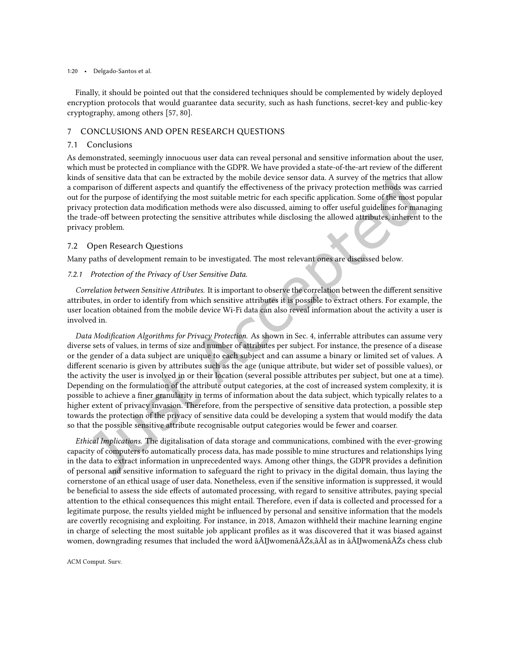#### 1:20 • Delgado-Santos et al.

Finally, it should be pointed out that the considered techniques should be complemented by widely deployed encryption protocols that would guarantee data security, such as hash functions, secret-key and public-key cryptography, among others [\[57,](#page--1-87) [80\]](#page--1-19).

#### 7 CONCLUSIONS AND OPEN RESEARCH QUESTIONS

#### 7.1 Conclusions

As demonstrated, seemingly innocuous user data can reveal personal and sensitive information about the user, which must be protected in compliance with the GDPR. We have provided a state-of-the-art review of the diferent kinds of sensitive data that can be extracted by the mobile device sensor data. A survey of the metrics that allow a comparison of diferent aspects and quantify the efectiveness of the privacy protection methods was carried out for the purpose of identifying the most suitable metric for each speciic application. Some of the most popular privacy protection data modification methods were also discussed, aiming to offer useful guidelines for managing the trade-of between protecting the sensitive attributes while disclosing the allowed attributes, inherent to the privacy problem.

#### 7.2 Open Research Questions

Many paths of development remain to be investigated. The most relevant ones are discussed below.

#### 7.2.1 Protection of the Privacy of User Sensitive Data.

Correlation between Sensitive Attributes. It is important to observe the correlation between the diferent sensitive attributes, in order to identify from which sensitive attributes it is possible to extract others. For example, the user location obtained from the mobile device Wi-Fi data can also reveal information about the activity a user is involved in.

Data Modification Algorithms for Privacy Protection. As shown in Sec. [4,](#page--1-27) inferrable attributes can assume very diverse sets of values, in terms of size and number of attributes per subject. For instance, the presence of a disease or the gender of a data subject are unique to each subject and can assume a binary or limited set of values. A diferent scenario is given by attributes such as the age (unique attribute, but wider set of possible values), or the activity the user is involved in or their location (several possible attributes per subject, but one at a time). Depending on the formulation of the attribute output categories, at the cost of increased system complexity, it is possible to achieve a iner granularity in terms of information about the data subject, which typically relates to a higher extent of privacy invasion. Therefore, from the perspective of sensitive data protection, a possible step towards the protection of the privacy of sensitive data could be developing a system that would modify the data so that the possible sensitive attribute recognisable output categories would be fewer and coarser.

Ethical Implications. The digitalisation of data storage and communications, combined with the ever-growing capacity of computers to automatically process data, has made possible to mine structures and relationships lying in the data to extract information in unprecedented ways. Among other things, the GDPR provides a deinition of personal and sensitive information to safeguard the right to privacy in the digital domain, thus laying the cornerstone of an ethical usage of user data. Nonetheless, even if the sensitive information is suppressed, it would be beneficial to assess the side effects of automated processing, with regard to sensitive attributes, paying special attention to the ethical consequences this might entail. Therefore, even if data is collected and processed for a legitimate purpose, the results yielded might be inluenced by personal and sensitive information that the models are covertly recognising and exploiting. For instance, in 2018, Amazon withheld their machine learning engine in charge of selecting the most suitable job applicant profiles as it was discovered that it was biased against women, downgrading resumes that included the word âĂIJwomenâĂŹs,âĂİ as in âĂIJwomenâĂŹs chess club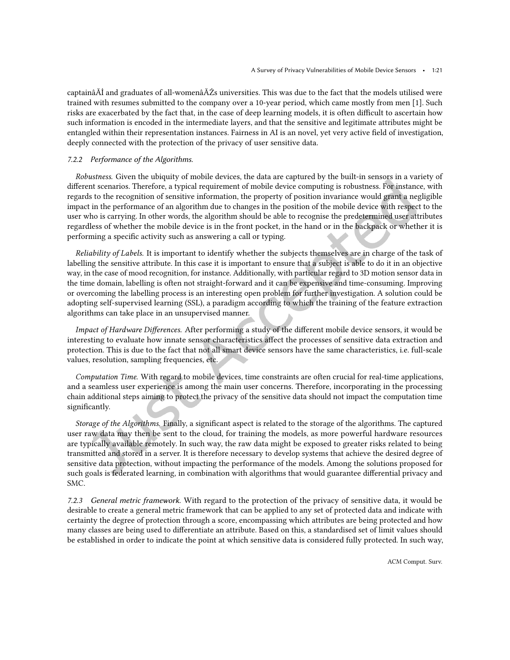captainâĂİ and graduates of all-womenâĂŹs universities. This was due to the fact that the models utilised were trained with resumes submitted to the company over a 10-year period, which came mostly from men [\[1\]](#page--1-117). Such risks are exacerbated by the fact that, in the case of deep learning models, it is often difficult to ascertain how such information is encoded in the intermediate layers, and that the sensitive and legitimate attributes might be entangled within their representation instances. Fairness in AI is an novel, yet very active ield of investigation, deeply connected with the protection of the privacy of user sensitive data.

#### 7.2.2 Performance of the Algorithms.

Robustness. Given the ubiquity of mobile devices, the data are captured by the built-in sensors in a variety of diferent scenarios. Therefore, a typical requirement of mobile device computing is robustness. For instance, with regards to the recognition of sensitive information, the property of position invariance would grant a negligible impact in the performance of an algorithm due to changes in the position of the mobile device with respect to the user who is carrying. In other words, the algorithm should be able to recognise the predetermined user attributes regardless of whether the mobile device is in the front pocket, in the hand or in the backpack or whether it is performing a specific activity such as answering a call or typing.

Reliability of Labels. It is important to identify whether the subjects themselves are in charge of the task of labelling the sensitive attribute. In this case it is important to ensure that a subject is able to do it in an objective way, in the case of mood recognition, for instance. Additionally, with particular regard to 3D motion sensor data in the time domain, labelling is often not straight-forward and it can be expensive and time-consuming. Improving or overcoming the labelling process is an interesting open problem for further investigation. A solution could be adopting self-supervised learning (SSL), a paradigm according to which the training of the feature extraction algorithms can take place in an unsupervised manner.

Impact of Hardware Diferences. After performing a study of the diferent mobile device sensors, it would be interesting to evaluate how innate sensor characteristics afect the processes of sensitive data extraction and protection. This is due to the fact that not all smart device sensors have the same characteristics, i.e. full-scale values, resolution, sampling frequencies, etc.

Computation Time. With regard to mobile devices, time constraints are often crucial for real-time applications, and a seamless user experience is among the main user concerns. Therefore, incorporating in the processing chain additional steps aiming to protect the privacy of the sensitive data should not impact the computation time significantly.

Storage of the Algorithms. Finally, a significant aspect is related to the storage of the algorithms. The captured user raw data may then be sent to the cloud, for training the models, as more powerful hardware resources are typically available remotely. In such way, the raw data might be exposed to greater risks related to being transmitted and stored in a server. It is therefore necessary to develop systems that achieve the desired degree of sensitive data protection, without impacting the performance of the models. Among the solutions proposed for such goals is federated learning, in combination with algorithms that would guarantee diferential privacy and SMC.

7.2.3 General metric framework. With regard to the protection of the privacy of sensitive data, it would be desirable to create a general metric framework that can be applied to any set of protected data and indicate with certainty the degree of protection through a score, encompassing which attributes are being protected and how many classes are being used to diferentiate an attribute. Based on this, a standardised set of limit values should be established in order to indicate the point at which sensitive data is considered fully protected. In such way,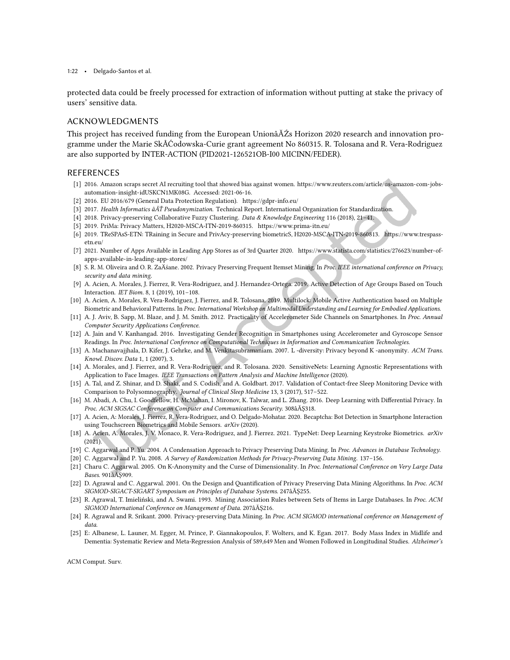1:22 • Delgado-Santos et al.

protected data could be freely processed for extraction of information without putting at stake the privacy of users' sensitive data.

#### ACKNOWLEDGMENTS

This project has received funding from the European UnionâĂŹs Horizon 2020 research and innovation programme under the Marie SkÅĆodowska-Curie grant agreement No 860315. R. Tolosana and R. Vera-Rodriguez are also supported by INTER-ACTION (PID2021-126521OB-I00 MICINN/FEDER).

#### REFERENCES

- [1] 2016. Amazon scraps secret AI recruiting tool that showed bias against women. [https://www.reuters.com/article/us-amazon-com-jobs](https://www.reuters.com/article/us-amazon-com-jobs-automation-insight-idUSKCN1MK08G)[automation-insight-idUSKCN1MK08G.](https://www.reuters.com/article/us-amazon-com-jobs-automation-insight-idUSKCN1MK08G) Accessed: 2021-06-16.
- [2] 2016. EU 2016/679 (General Data Protection Regulation).<https://gdpr-info.eu/>
- [3] 2017. Health Informatics âĂŤ Pseudonymization. Technical Report. International Organization for Standardization.
- [4] 2018. Privacy-preserving Collaborative Fuzzy Clustering. Data & Knowledge Engineering 116 (2018), 21–41.
- [5] 2019. PriMa: Privacy Matters, H2020-MSCA-ITN-2019-860315.<https://www.prima-itn.eu/>
- [6] 2019. TReSPAsS-ETN: TRaining in Secure and PrivAcy-preserving biometricS, H2020-MSCA-ITN-2019-860813. [https://www.trespass](https://www.trespass-etn.eu/)[etn.eu/](https://www.trespass-etn.eu/)
- [7] 2021. Number of Apps Available in Leading App Stores as of 3rd Quarter 2020. [https://www.statista.com/statistics/276623/number-of](https://www.statista.com/statistics/276623/number-of-apps-available-in-leading-app-stores/)[apps-available-in-leading-app-stores/](https://www.statista.com/statistics/276623/number-of-apps-available-in-leading-app-stores/)
- [8] S. R. M. Oliveira and O. R. ZaÄśane. 2002. Privacy Preserving Frequent Itemset Mining. In Proc. IEEE international conference on Privacy, security and data mining.
- [9] A. Acien, A. Morales, J. Fierrez, R. Vera-Rodriguez, and J. Hernandez-Ortega. 2019. Active Detection of Age Groups Based on Touch Interaction. IET Biom. 8, 1 (2019), 101–108.
- [10] A. Acien, A. Morales, R. Vera-Rodriguez, J. Fierrez, and R. Tolosana. 2019. Multilock: Mobile Active Authentication based on Multiple Biometric and Behavioral Patterns. In Proc. International Workshop on Multimodal Understanding and Learning for Embodied Applications.
- [11] A. J. Aviv, B. Sapp, M. Blaze, and J. M. Smith. 2012. Practicality of Accelerometer Side Channels on Smartphones. In Proc. Annual Computer Security Applications Conference.
- [12] A. Jain and V. Kanhangad. 2016. Investigating Gender Recognition in Smartphones using Accelerometer and Gyroscope Sensor Readings. In Proc. International Conference on Computational Techniques in Information and Communication Technologies.
- [13] A. Machanavajjhala, D. Kifer, J. Gehrke, and M. Venkitasubramaniam. 2007. L -diversity: Privacy beyond K -anonymity. ACM Trans. Knowl. Discov. Data 1, 1 (2007), 3.
- [14] A. Morales, and J. Fierrez, and R. Vera-Rodriguez, and R. Tolosana. 2020. SensitiveNets: Learning Agnostic Representations with Application to Face Images. IEEE Transactions on Pattern Analysis and Machine Intelligence (2020).
- [15] A. Tal, and Z. Shinar, and D. Shaki, and S. Codish, and A. Goldbart. 2017. Validation of Contact-free Sleep Monitoring Device with Comparison to Polysomnography. Journal of Clinical Sleep Medicine 13, 3 (2017), 517–522.
- [16] M. Abadi, A. Chu, I. Goodfellow, H. McMahan, I. Mironov, K. Talwar, and L. Zhang. 2016. Deep Learning with Diferential Privacy. In Proc. ACM SIGSAC Conference on Computer and Communications Security. 308âĂŞ318.
- [17] A. Acien, A: Morales, J. Fierrez, R. Vera-Rodriguez, and O. Delgado-Mohatar. 2020. Becaptcha: Bot Detection in Smartphone Interaction using Touchscreen Biometrics and Mobile Sensors. arXiv (2020).
- [18] A. Acien, A. Morales, J. V. Monaco, R. Vera-Rodriguez, and J. Fierrez. 2021. TypeNet: Deep Learning Keystroke Biometrics. arXiv (2021).
- [19] C. Aggarwal and P. Yu. 2004. A Condensation Approach to Privacy Preserving Data Mining. In Proc. Advances in Database Technology.
- [20] C. Aggarwal and P. Yu. 2008. A Survey of Randomization Methods for Privacy-Preserving Data Mining. 137–156.
- [21] Charu C. Aggarwal. 2005. On K-Anonymity and the Curse of Dimensionality. In Proc. International Conference on Very Large Data Bases. 901âĂŞ909.
- [22] D. Agrawal and C. Aggarwal. 2001. On the Design and Quantification of Privacy Preserving Data Mining Algorithms. In Proc. ACM SIGMOD-SIGACT-SIGART Symposium on Principles of Database Systems. 247âĂŞ255.
- [23] R. Agrawal, T. Imieliński, and A. Swami. 1993. Mining Association Rules between Sets of Items in Large Databases. In Proc. ACM SIGMOD International Conference on Management of Data. 207âĂŞ216.
- [24] R. Agrawal and R. Srikant. 2000. Privacy-preserving Data Mining. In Proc. ACM SIGMOD international conference on Management of data.
- [25] E: Albanese, L. Launer, M. Egger, M. Prince, P. Giannakopoulos, F. Wolters, and K. Egan. 2017. Body Mass Index in Midlife and Dementia: Systematic Review and Meta-Regression Analysis of 589,649 Men and Women Followed in Longitudinal Studies. Alzheimer's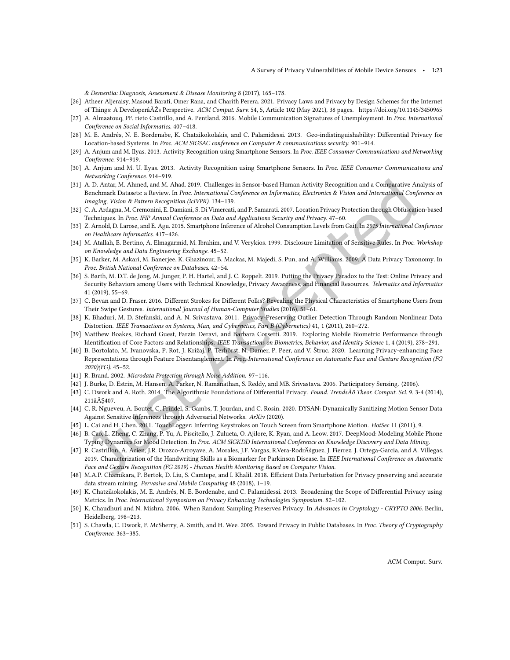& Dementia: Diagnosis, Assessment & Disease Monitoring 8 (2017), 165–178.

- [26] Atheer Aljeraisy, Masoud Barati, Omer Rana, and Charith Perera. 2021. Privacy Laws and Privacy by Design Schemes for the Internet of Things: A DeveloperâĂŹs Perspective. ACM Comput. Surv. 54, 5, Article 102 (May 2021), 38 pages.<https://doi.org/10.1145/3450965>
- [27] A. Almaatouq, PF. rieto Castrillo, and A. Pentland. 2016. Mobile Communication Signatures of Unemployment. In Proc. International Conference on Social Informatics. 407–418.
- [28] M. E. Andrés, N. E. Bordenabe, K. Chatzikokolakis, and C. Palamidessi. 2013. Geo-indistinguishability: Diferential Privacy for Location-based Systems. In Proc. ACM SIGSAC conference on Computer & communications security. 901–914.
- [29] A. Anjum and M. Ilyas. 2013. Activity Recognition using Smartphone Sensors. In Proc. IEEE Consumer Communications and Networking Conference. 914–919.
- [30] A. Anjum and M. U. Ilyas. 2013. Activity Recognition using Smartphone Sensors. In Proc. IEEE Consumer Communications and Networking Conference. 914–919.
- [31] A. D. Antar, M. Ahmed, and M. Ahad. 2019. Challenges in Sensor-based Human Activity Recognition and a Comparative Analysis of Benchmark Datasets: a Review. In Proc. International Conference on Informatics, Electronics & Vision and International Conference on Imaging, Vision & Pattern Recognition (icIVPR). 134–139.
- [32] C. A. Ardagna, M. Cremonini, E. Damiani, S. Di Vimercati, and P. Samarati. 2007. Location Privacy Protection through Obfuscation-based Techniques. In Proc. IFIP Annual Conference on Data and Applications Security and Privacy. 47–60.
- [33] Z. Arnold, D. Larose, and E. Agu. 2015. Smartphone Inference of Alcohol Consumption Levels from Gait. In 2015 International Conference on Healthcare Informatics. 417–426.
- [34] M. Atallah, E. Bertino, A. Elmagarmid, M. Ibrahim, and V. Verykios. 1999. Disclosure Limitation of Sensitive Rules. In Proc. Workshop on Knowledge and Data Engineering Exchange. 45–52.
- [35] K. Barker, M. Askari, M. Banerjee, K. Ghazinour, B. Mackas, M. Majedi, S. Pun, and A. Williams. 2009. A Data Privacy Taxonomy. In Proc. British National Conference on Databases. 42–54.
- [36] S. Barth, M. D.T. de Jong, M. Junger, P. H. Hartel, and J. C. Roppelt. 2019. Putting the Privacy Paradox to the Test: Online Privacy and Security Behaviors among Users with Technical Knowledge, Privacy Awareness, and Financial Resources. Telematics and Informatics 41 (2019), 55–69.
- [37] C. Bevan and D. Fraser. 2016. Diferent Strokes for Diferent Folks? Revealing the Physical Characteristics of Smartphone Users from Their Swipe Gestures. International Journal of Human-Computer Studies (2016), 51–61.
- [38] K. Bhaduri, M. D. Stefanski, and A. N. Srivastava. 2011. Privacy-Preserving Outlier Detection Through Random Nonlinear Data Distortion. IEEE Transactions on Systems, Man, and Cybernetics, Part B (Cybernetics) 41, 1 (2011), 260–272.
- [39] Matthew Boakes, Richard Guest, Farzin Deravi, and Barbara Corsetti. 2019. Exploring Mobile Biometric Performance through Identiication of Core Factors and Relationships. IEEE Transactions on Biometrics, Behavior, and Identity Science 1, 4 (2019), 278–291.
- [40] B. Bortolato, M. Ivanovska, P. Rot, J. Križaj, P. Terhörst, N. Damer, P. Peer, and V. Štruc. 2020. Learning Privacy-enhancing Face Representations through Feature Disentanglement. In Proc. International Conference on Automatic Face and Gesture Recognition (FG 2020)(FG). 45–52.
- [41] R. Brand. 2002. Microdata Protection through Noise Addition. 97–116.
- [42] J. Burke, D. Estrin, M. Hansen, A. Parker, N. Ramanathan, S. Reddy, and MB. Srivastava. 2006. Participatory Sensing. (2006).
- [43] C. Dwork and A. Roth. 2014. The Algorithmic Foundations of Diferential Privacy. Found. TrendsÂő Theor. Comput. Sci. 9, 3-4 (2014), 211âĂŞ407.
- [44] C. R. Ngueveu, A. Boutet, C. Frindel, S. Gambs, T. Jourdan, and C. Rosin. 2020. DYSAN: Dynamically Sanitizing Motion Sensor Data Against Sensitive Inferences through Adversarial Networks. ArXiv (2020).
- [45] L. Cai and H. Chen. 2011. TouchLogger: Inferring Keystrokes on Touch Screen from Smartphone Motion. HotSec 11 (2011), 9.
- [46] B. Cao, L. Zheng, C. Zhang, P. Yu, A. Piscitello, J. Zulueta, O. Ajilore, K. Ryan, and A. Leow. 2017. DeepMood: Modeling Mobile Phone Typing Dynamics for Mood Detection. In Proc. ACM SIGKDD International Conference on Knowledge Discovery and Data Mining.
- [47] R. Castrillon, A. Acien, J.R. Orozco-Arroyave, A. Morales, J.F. Vargas, R.Vera-RodrÄśguez, J. Fierrez, J. Ortega-Garcia, and A. Villegas. 2019. Characterization of the Handwriting Skills as a Biomarker for Parkinson Disease. In IEEE International Conference on Automatic Face and Gesture Recognition (FG 2019) - Human Health Monitoring Based on Computer Vision.
- [48] M.A.P. Chamikara, P. Bertok, D. Liu, S. Camtepe, and I. Khalil. 2018. Efficient Data Perturbation for Privacy preserving and accurate data stream mining. Pervasive and Mobile Computing 48 (2018), 1–19.
- [49] K. Chatzikokolakis, M. E. Andrés, N. E. Bordenabe, and C. Palamidessi. 2013. Broadening the Scope of Diferential Privacy using Metrics. In Proc. International Symposium on Privacy Enhancing Technologies Symposium. 82–102.
- [50] K. Chaudhuri and N. Mishra. 2006. When Random Sampling Preserves Privacy. In Advances in Cryptology CRYPTO 2006. Berlin, Heidelberg, 198–213.
- [51] S. Chawla, C. Dwork, F. McSherry, A. Smith, and H. Wee. 2005. Toward Privacy in Public Databases. In Proc. Theory of Cryptography Conference. 363–385.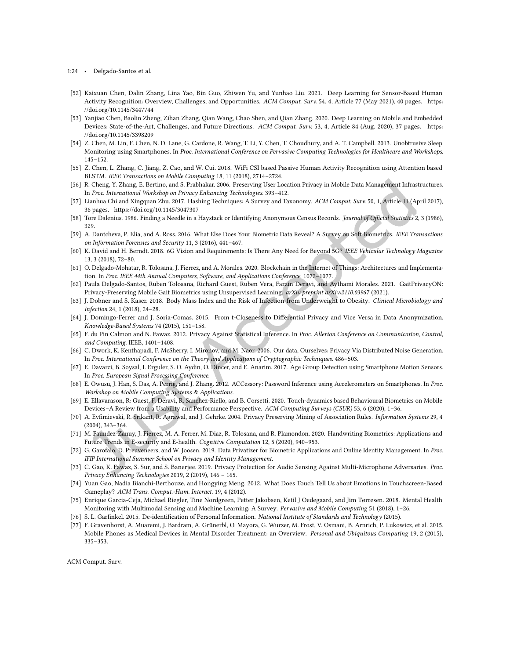- 1:24 Delgado-Santos et al.
- [52] Kaixuan Chen, Dalin Zhang, Lina Yao, Bin Guo, Zhiwen Yu, and Yunhao Liu. 2021. Deep Learning for Sensor-Based Human Activity Recognition: Overview, Challenges, and Opportunities. ACM Comput. Surv. 54, 4, Article 77 (May 2021), 40 pages. [https:](https://doi.org/10.1145/3447744) [//doi.org/10.1145/3447744](https://doi.org/10.1145/3447744)
- [53] Yanjiao Chen, Baolin Zheng, Zihan Zhang, Qian Wang, Chao Shen, and Qian Zhang. 2020. Deep Learning on Mobile and Embedded Devices: State-of-the-Art, Challenges, and Future Directions. ACM Comput. Surv. 53, 4, Article 84 (Aug. 2020), 37 pages. [https:](https://doi.org/10.1145/3398209) [//doi.org/10.1145/3398209](https://doi.org/10.1145/3398209)
- [54] Z. Chen, M. Lin, F. Chen, N. D. Lane, G. Cardone, R. Wang, T. Li, Y. Chen, T. Choudhury, and A. T. Campbell. 2013. Unobtrusive Sleep Monitoring using Smartphones. In Proc. International Conference on Pervasive Computing Technologies for Healthcare and Workshops. 145–152.
- [55] Z. Chen, L. Zhang, C. Jiang, Z. Cao, and W. Cui. 2018. WiFi CSI based Passive Human Activity Recognition using Attention based BLSTM. IEEE Transactions on Mobile Computing 18, 11 (2018), 2714–2724.
- [56] R. Cheng, Y. Zhang, E. Bertino, and S. Prabhakar. 2006. Preserving User Location Privacy in Mobile Data Management Infrastructures. In Proc. International Workshop on Privacy Enhancing Technologies. 393–412.
- [57] Lianhua Chi and Xingquan Zhu. 2017. Hashing Techniques: A Survey and Taxonomy. ACM Comput. Surv. 50, 1, Article 11 (April 2017), 36 pages.<https://doi.org/10.1145/3047307>
- [58] Tore Dalenius. 1986. Finding a Needle in a Haystack or Identifying Anonymous Census Records. Journal of Official Statistics 2, 3 (1986), 329.
- [59] A. Dantcheva, P. Elia, and A. Ross. 2016. What Else Does Your Biometric Data Reveal? A Survey on Soft Biometrics. IEEE Transactions on Information Forensics and Security 11, 3 (2016), 441–467.
- [60] K. David and H. Berndt. 2018. 6G Vision and Requirements: Is There Any Need for Beyond 5G? IEEE Vehicular Technology Magazine 13, 3 (2018), 72–80.
- [61] O. Delgado-Mohatar, R. Tolosana, J. Fierrez, and A. Morales. 2020. Blockchain in the Internet of Things: Architectures and Implementation. In Proc. IEEE 44th Annual Computers, Software, and Applications Conference. 1072–1077.
- [62] Paula Delgado-Santos, Ruben Tolosana, Richard Guest, Ruben Vera, Farzin Deravi, and Aythami Morales. 2021. GaitPrivacyON: Privacy-Preserving Mobile Gait Biometrics using Unsupervised Learning. arXiv preprint arXiv:2110.03967 (2021).
- [63] J. Dobner and S. Kaser. 2018. Body Mass Index and the Risk of Infection-from Underweight to Obesity. Clinical Microbiology and Infection 24, 1 (2018), 24–28.
- [64] J. Domingo-Ferrer and J. Soria-Comas. 2015. From t-Closeness to Diferential Privacy and Vice Versa in Data Anonymization. Knowledge-Based Systems 74 (2015), 151–158.
- [65] F. du Pin Calmon and N. Fawaz. 2012. Privacy Against Statistical Inference. In Proc. Allerton Conference on Communication, Control, and Computing. IEEE, 1401–1408.
- [66] C. Dwork, K. Kenthapadi, F. McSherry, I. Mironov, and M. Naor. 2006. Our data, Ourselves: Privacy Via Distributed Noise Generation. In Proc. International Conference on the Theory and Applications of Cryptographic Techniques. 486–503.
- [67] E. Davarci, B. Soysal, I. Erguler, S. O. Aydin, O. Dincer, and E. Anarim. 2017. Age Group Detection using Smartphone Motion Sensors. In Proc. European Signal Processing Conference.
- [68] E. Owusu, J. Han, S. Das, A. Perrig, and J. Zhang. 2012. ACCessory: Password Inference using Accelerometers on Smartphones. In Proc. Workshop on Mobile Computing Systems & Applications.
- [69] E. Ellavarason, R: Guest, F. Deravi, R. Sanchez-Riello, and B. Corsetti. 2020. Touch-dynamics based Behavioural Biometrics on Mobile Devices–A Review from a Usability and Performance Perspective. ACM Computing Surveys (CSUR) 53, 6 (2020), 1–36.
- [70] A. Evimievski, R. Srikant, R. Agrawal, and J. Gehrke. 2004. Privacy Preserving Mining of Association Rules. Information Systems 29, 4 (2004), 343–364.
- [71] M. Faundez-Zanuy, J. Fierrez, M. A. Ferrer, M. Diaz, R. Tolosana, and R. Plamondon. 2020. Handwriting Biometrics: Applications and Future Trends in E-security and E-health. Cognitive Computation 12, 5 (2020), 940–953.
- [72] G. Garofalo, D. Preuveneers, and W. Joosen. 2019. Data Privatizer for Biometric Applications and Online Identity Management. In Proc. IFIP International Summer School on Privacy and Identity Management.
- [73] C. Gao, K. Fawaz, S. Sur, and S. Banerjee. 2019. Privacy Protection for Audio Sensing Against Multi-Microphone Adversaries. Proc. Privacy Enhancing Technologies 2019, 2 (2019), 146 – 165.
- [74] Yuan Gao, Nadia Bianchi-Berthouze, and Hongying Meng. 2012. What Does Touch Tell Us about Emotions in Touchscreen-Based Gameplay? ACM Trans. Comput.-Hum. Interact. 19, 4 (2012).
- [75] Enrique Garcia-Ceja, Michael Riegler, Tine Nordgreen, Petter Jakobsen, Ketil J Oedegaard, and Jim Tùrresen. 2018. Mental Health Monitoring with Multimodal Sensing and Machine Learning: A Survey. Pervasive and Mobile Computing 51 (2018), 1–26.
- [76] S. L. Garfinkel. 2015. De-identification of Personal Information. National Institute of Standards and Technology (2015).
- [77] F. Gravenhorst, A. Muaremi, J. Bardram, A. Grünerbl, O. Mayora, G. Wurzer, M. Frost, V. Osmani, B. Arnrich, P. Lukowicz, et al. 2015. Mobile Phones as Medical Devices in Mental Disorder Treatment: an Overview. Personal and Ubiquitous Computing 19, 2 (2015), 335–353.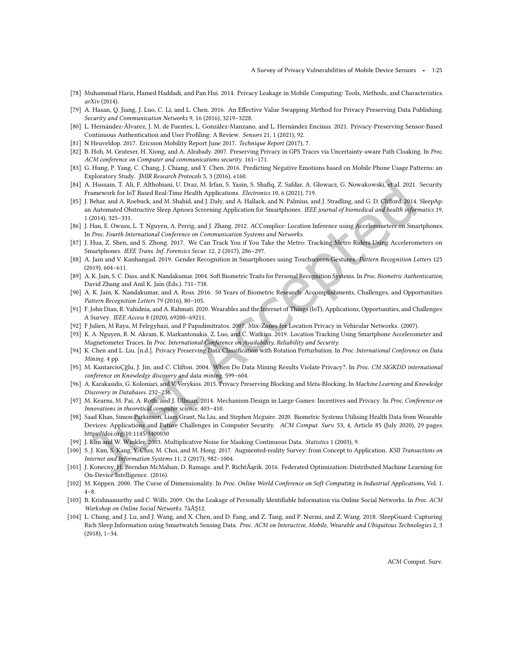- [78] Muhammad Haris, Hamed Haddadi, and Pan Hui. 2014. Privacy Leakage in Mobile Computing: Tools, Methods, and Characteristics. arXiv (2014).
- [79] A. Hasan, Q. Jiang, J. Luo, C. Li, and L. Chen. 2016. An Efective Value Swapping Method for Privacy Preserving Data Publishing. Security and Communication Networks 9, 16 (2016), 3219–3228.
- [80] L. Hernández-Álvarez, J. M. de Fuentes, L. González-Manzano, and L. Hernández Encinas. 2021. Privacy-Preserving Sensor-Based Continuous Authentication and User Profiling: A Review. Sensors 21, 1 (2021), 92.
- [81] N Heuveldop. 2017. Ericsson Mobility Report June 2017. Technique Report (2017), 7.
- [82] B. Hoh, M. Gruteser, H. Xiong, and A. Alrabady. 2007. Preserving Privacy in GPS Traces via Uncertainty-aware Path Cloaking. In Proc. ACM conference on Computer and communications security. 161–171.
- [83] G. Hung, P. Yang, C. Chang, J. Chiang, and Y. Chen. 2016. Predicting Negative Emotions based on Mobile Phone Usage Patterns: an Exploratory Study. JMIR Research Protocols 5, 3 (2016), e160.
- [84] A. Hussain, T. Ali, F. Althobiani, U. Draz, M. Irfan, S. Yasin, S. Shaiq, Z. Safdar, A. Glowacz, G. Nowakowski, et al. 2021. Security Framework for IoT Based Real-Time Health Applications. Electronics 10, 6 (2021), 719.
- [85] J. Behar, and A. Roebuck, and M. Shahid, and J. Daly, and A. Hallack, and N. Palmius, and J. Stradling, and G. D. Cliford. 2014. SleepAp: an Automated Obstructive Sleep Apnoea Screening Application for Smartphones. IEEE journal of biomedical and health informatics 19, 1 (2014), 325–331.
- [86] J. Han, E. Owusu, L. T. Nguyen, A. Perrig, and J. Zhang. 2012. ACComplice: Location Inference using Accelerometers on Smartphones. In Proc. Fourth International Conference on Communication Systems and Networks.
- [87] J. Hua, Z. Shen, and S. Zhong. 2017. We Can Track You if You Take the Metro: Tracking Metro Riders Using Accelerometers on Smartphones. IEEE Trans. Inf. Forensics Secur. 12, 2 (2017), 286-297.
- [88] A. Jain and V. Kanhangad. 2019. Gender Recognition in Smartphones using Touchscreen Gestures. Pattern Recognition Letters 125 (2019), 604–611.
- [89] A. K. Jain, S. C. Dass, and K. Nandakumar. 2004. Soft Biometric Traits for Personal Recognition Systems. In Proc. Biometric Authentication, David Zhang and Anil K. Jain (Eds.). 731–738.
- [90] A. K. Jain, K. Nandakumar, and A. Ross. 2016. 50 Years of Biometric Research: Accomplishments, Challenges, and Opportunities. Pattern Recognition Letters 79 (2016), 80–105.
- [91] F. John Dian, R. Vahidnia, and A. Rahmati. 2020. Wearables and the Internet of Things (IoT), Applications, Opportunities, and Challenges: A Survey. IEEE Access 8 (2020), 69200–69211.
- [92] F Julien, M Raya, M Felegyhazi, and P Papadimitratos. 2007. Mix-Zones for Location Privacy in Vehicular Networks. (2007).
- [93] K. A. Nguyen, R. N. Akram, K. Markantonakis, Z. Luo, and C. Watkins. 2019. Location Tracking Using Smartphone Accelerometer and Magnetometer Traces. In Proc. International Conference on Availability, Reliability and Security.
- [94] K. Chen and L. Liu. [n.d.]. Privacy Preserving Data Classification with Rotation Perturbation. In Proc. International Conference on Data Mining. 4 pp.
- [95] M. KantarcioÇğlu, J. Jin, and C. Clifton. 2004. When Do Data Mining Results Violate Privacy?. In Proc. CM SIGKDD international conference on Knowledge discovery and data mining. 599–604.
- [96] A. Karakasidis, G. Koloniari, and V. Verykios. 2015. Privacy Preserving Blocking and Meta-Blocking. In Machine Learning and Knowledge Discovery in Databases. 232–236.
- [97] M. Kearns, M. Pai, A. Roth, and J. Ullman. 2014. Mechanism Design in Large Games: Incentives and Privacy. In Proc. Conference on Innovations in theoretical computer science. 403–410.
- [98] Saad Khan, Simon Parkinson, Liam Grant, Na Liu, and Stephen Mcguire. 2020. Biometric Systems Utilising Health Data from Wearable Devices: Applications and Future Challenges in Computer Security. ACM Comput. Surv. 53, 4, Article 85 (July 2020), 29 pages. <https://doi.org/10.1145/3400030>
- [99] J. Kim and W. Winkler. 2003. Multiplicative Noise for Masking Continuous Data. Statistics 1 (2003), 9.
- [100] S. J. Kim, S. Kang, Y. Choi, M. Choi, and M. Hong. 2017. Augmented-reality Survey: from Concept to Application. KSII Transactions on Internet and Information Systems 11, 2 (2017), 982–1004.
- [101] J. Konecny, H. Brendan McMahan, D. Ramage, and P. RichtÃąrik. 2016. Federated Optimization: Distributed Machine Learning for On-Device Intelligence. (2016).
- [102] M. Köppen. 2000. The Curse of Dimensionality. In Proc. Online World Conference on Soft Computing in Industrial Applications, Vol. 1. 4–8.
- [103] B. Krishnamurthy and C. Wills. 2009. On the Leakage of Personally Identifiable Information via Online Social Networks. In Proc. ACM Workshop on Online Social Networks. 7âĂS12.
- [104] L. Chang, and J. Lu, and J. Wang, and X. Chen, and D. Fang, and Z. Tang, and P. Nurmi, and Z. Wang. 2018. SleepGuard: Capturing Rich Sleep Information using Smartwatch Sensing Data. Proc. ACM on Interactive, Mobile, Wearable and Ubiquitous Technologies 2, 3 (2018), 1–34.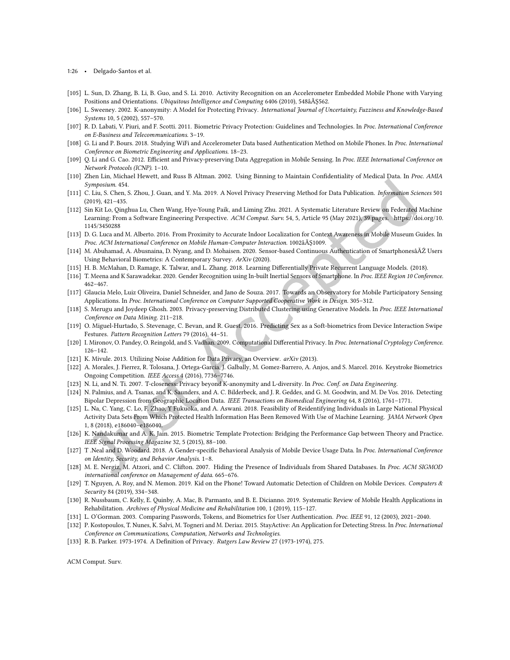1:26 • Delgado-Santos et al.

- [105] L. Sun, D. Zhang, B. Li, B. Guo, and S. Li. 2010. Activity Recognition on an Accelerometer Embedded Mobile Phone with Varying Positions and Orientations. Ubiquitous Intelligence and Computing 6406 (2010), 548âĂŞ562.
- [106] L. Sweeney. 2002. K-anonymity: A Model for Protecting Privacy. International Journal of Uncertainty, Fuzziness and Knowledge-Based Systems 10, 5 (2002), 557–570.
- [107] R. D. Labati, V. Piuri, and F. Scotti. 2011. Biometric Privacy Protection: Guidelines and Technologies. In Proc. International Conference on E-Business and Telecommunications. 3–19.
- [108] G. Li and P. Bours. 2018. Studying WiFi and Accelerometer Data based Authentication Method on Mobile Phones. In Proc. International Conference on Biometric Engineering and Applications. 18–23.
- [109] Q. Li and G. Cao. 2012. Efficient and Privacy-preserving Data Aggregation in Mobile Sensing. In Proc. IEEE International Conference on Network Protocols (ICNP). 1–10.
- [110] Zhen Lin, Michael Hewett, and Russ B Altman. 2002. Using Binning to Maintain Conidentiality of Medical Data. In Proc. AMIA Symposium. 454.
- [111] C. Liu, S. Chen, S. Zhou, J. Guan, and Y. Ma. 2019. A Novel Privacy Preserving Method for Data Publication. Information Sciences 501 (2019), 421–435.
- [112] Sin Kit Lo, Qinghua Lu, Chen Wang, Hye-Young Paik, and Liming Zhu. 2021. A Systematic Literature Review on Federated Machine Learning: From a Software Engineering Perspective. ACM Comput. Surv. 54, 5, Article 95 (May 2021), 39 pages. [https://doi.org/10.](https://doi.org/10.1145/3450288) [1145/3450288](https://doi.org/10.1145/3450288)
- [113] D. G. Luca and M. Alberto. 2016. From Proximity to Accurate Indoor Localization for Context Awareness in Mobile Museum Guides. In Proc. ACM International Conference on Mobile Human-Computer Interaction. 1002âĂŞ1009.
- [114] M. Abuhamad, A. Abusnaina, D. Nyang, and D. Mohaisen. 2020. Sensor-based Continuous Authentication of SmartphonesâĂŹ Users Using Behavioral Biometrics: A Contemporary Survey. ArXiv (2020).
- [115] H. B. McMahan, D. Ramage, K. Talwar, and L. Zhang. 2018. Learning Diferentially Private Recurrent Language Models. (2018).
- [116] T. Meena and K Sarawadekar. 2020. Gender Recognition using In-built Inertial Sensors of Smartphone. In Proc. IEEE Region 10 Conference. 462–467.
- [117] Glaucia Melo, Luiz Oliveira, Daniel Schneider, and Jano de Souza. 2017. Towards an Observatory for Mobile Participatory Sensing Applications. In Proc. International Conference on Computer Supported Cooperative Work in Design. 305–312.
- [118] S. Merugu and Joydeep Ghosh. 2003. Privacy-preserving Distributed Clustering using Generative Models. In Proc. IEEE International Conference on Data Mining. 211–218.
- [119] O. Miguel-Hurtado, S. Stevenage, C. Bevan, and R. Guest. 2016. Predicting Sex as a Soft-biometrics from Device Interaction Swipe Festures. Pattern Recognition Letters 79 (2016), 44–51.
- [120] I. Mironov, O. Pandey, O. Reingold, and S. Vadhan. 2009. Computational Differential Privacy. In Proc. International Cryptology Conference. 126–142.
- [121] K. Mivule. 2013. Utilizing Noise Addition for Data Privacy, an Overview. arXiv (2013).
- [122] A. Morales, J. Fierrez, R. Tolosana, J. Ortega-Garcia, J. Galbally, M. Gomez-Barrero, A. Anjos, and S. Marcel. 2016. Keystroke Biometrics Ongoing Competition. IEEE Access 4 (2016), 7736–7746.
- [123] N. Li, and N. Ti. 2007. T-closeness: Privacy beyond K-anonymity and L-diversity. In Proc. Conf. on Data Engineering.
- [124] N. Palmius, and A. Tsanas, and K. Saunders, and A. C. Bilderbeck, and J. R. Geddes, and G. M. Goodwin, and M. De Vos. 2016. Detecting Bipolar Depression from Geographic Location Data. IEEE Transactions on Biomedical Engineering 64, 8 (2016), 1761–1771.
- [125] L. Na, C. Yang, C. Lo, F. Zhao, Y Fukuoka, and A. Aswani. 2018. Feasibility of Reidentifying Individuals in Large National Physical Activity Data Sets From Which Protected Health Information Has Been Removed With Use of Machine Learning. JAMA Network Open 1, 8 (2018), e186040–e186040.
- [126] K. Nandakumar and A. K. Jain. 2015. Biometric Template Protection: Bridging the Performance Gap between Theory and Practice. IEEE Signal Processing Magazine 32, 5 (2015), 88–100.
- [127] T .Neal and D. Woodard. 2018. A Gender-speciic Behavioral Analysis of Mobile Device Usage Data. In Proc. International Conference on Identity, Security, and Behavior Analysis. 1–8.
- [128] M. E. Nergiz, M. Atzori, and C. Clifton. 2007. Hiding the Presence of Individuals from Shared Databases. In Proc. ACM SIGMOD international conference on Management of data. 665–676.
- [129] T. Nguyen, A. Roy, and N. Memon. 2019. Kid on the Phone! Toward Automatic Detection of Children on Mobile Devices. Computers & Security 84 (2019), 334–348.
- [130] R. Nussbaum, C. Kelly, E. Quinby, A. Mac, B. Parmanto, and B. E. Dicianno. 2019. Systematic Review of Mobile Health Applications in Rehabilitation. Archives of Physical Medicine and Rehabilitation 100, 1 (2019), 115–127.
- [131] L. O'Gorman. 2003. Comparing Passwords, Tokens, and Biometrics for User Authentication. Proc. IEEE 91, 12 (2003), 2021–2040.
- [132] P. Kostopoulos, T. Nunes, K. Salvi, M. Togneri and M. Deriaz. 2015. StayActive: An Application for Detecting Stress. In Proc. International Conference on Communications, Computation, Networks and Technologies.
- [133] R. B. Parker. 1973-1974. A Deinition of Privacy. Rutgers Law Review 27 (1973-1974), 275.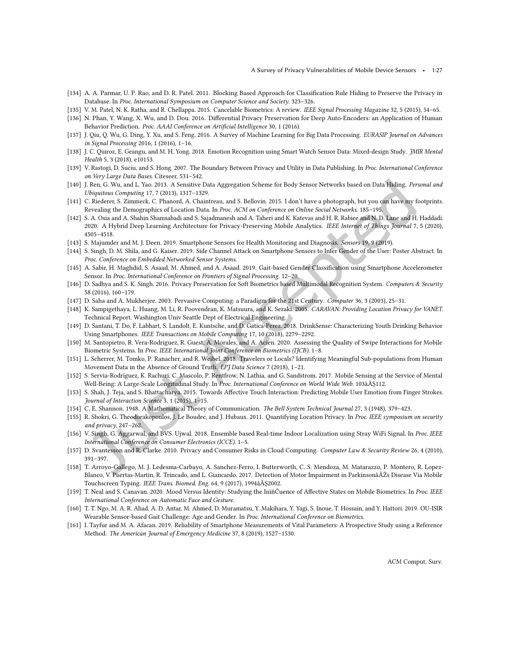- [134] A. A. Parmar, U. P. Rao, and D. R. Patel. 2011. Blocking Based Approach for Classification Rule Hiding to Preserve the Privacy in Database. In Proc. International Symposium on Computer Science and Society. 323–326.
- [135] V. M. Patel, N. K. Ratha, and R. Chellappa. 2015. Cancelable Biometrics: A review. IEEE Signal Processing Magazine 32, 5 (2015), 54–65.
- [136] N. Phan, Y. Wang, X. Wu, and D. Dou. 2016. Diferential Privacy Preservation for Deep Auto-Encoders: an Application of Human Behavior Prediction. Proc. AAAI Conference on Artificial Intelligence 30, 1 (2016).
- [137] J. Qiu, Q. Wu, G. Ding, Y. Xu, and S. Feng. 2016. A Survey of Machine Learning for Big Data Processing. EURASIP Journal on Advances in Signal Processing 2016, 1 (2016), 1–16.
- [138] J. C. Quiroz, E. Geangu, and M. H. Yong. 2018. Emotion Recognition using Smart Watch Sensor Data: Mixed-design Study. JMIR Mental Health 5, 3 (2018), e10153.
- [139] V. Rastogi, D. Suciu, and S. Hong. 2007. The Boundary Between Privacy and Utility in Data Publishing. In Proc. International Conference on Very Large Data Bases. Citeseer, 531–542.
- [140] J. Ren, G. Wu, and L. Yao. 2013. A Sensitive Data Aggregation Scheme for Body Sensor Networks based on Data Hiding. Personal and Ubiquitous Computing 17, 7 (2013), 1317–1329.
- [141] C. Riederer, S. Zimmeck, C. Phanord, A. Chaintreau, and S. Bellovin. 2015. I don't have a photograph, but you can have my footprints. Revealing the Demographics of Location Data. In Proc. ACM on Conference on Online Social Networks. 185–195.
- [142] S. A. Osia and A. Shahin Shamsabadi and S. Sajadmanesh and A. Taheri and K. Katevas and H. R. Rabiee and N. D. Lane and H. Haddadi. 2020. A Hybrid Deep Learning Architecture for Privacy-Preserving Mobile Analytics. IEEE Internet of Things Journal 7, 5 (2020), 4505–4518.
- [143] S. Majumder and M. J. Deen. 2019. Smartphone Sensors for Health Monitoring and Diagnosis. Sensors 19, 9 (2019).
- [144] S. Singh, D. M. Shila, and G. Kaiser. 2019. Side Channel Attack on Smartphone Sensors to Infer Gender of the User: Poster Abstract. In Proc. Conference on Embedded Networked Sensor Systems.
- [145] A. Sabir, H. Maghdid, S. Asaad, M. Ahmed, and A. Asaad. 2019. Gait-based Gender Classiication using Smartphone Accelerometer Sensor. In Proc. International Conference on Frontiers of Signal Processing. 12–20.
- [146] D. Sadhya and S. K. Singh. 2016. Privacy Preservation for Soft Biometrics based Multimodal Recognition System. Computers & Security 58 (2016), 160–179.
- [147] D. Saha and A. Mukherjee. 2003. Pervasive Computing: a Paradigm for the 21st Century. Computer 36, 3 (2003), 25–31.
- [148] K. Sampigethaya, L. Huang, M. Li, R. Poovendran, K. Matsuura, and K. Sezaki. 2005. CARAVAN: Providing Location Privacy for VANET. Technical Report. Washington Univ Seattle Dept of Electrical Engineering.
- [149] D. Santani, T. Do, F. Labhart, S. Landolt, E. Kuntsche, and D. Gatica-Perez. 2018. DrinkSense: Characterizing Youth Drinking Behavior Using Smartphones. IEEE Transactions on Mobile Computing 17, 10 (2018), 2279–2292.
- [150] M. Santopietro, R. Vera-Rodriguez, R. Guest, A. Morales, and A. Acien. 2020. Assessing the Quality of Swipe Interactions for Mobile Biometric Systems. In Proc. IEEE International Joint Conference on Biometrics (IJCB). 1-8.
- [151] L. Scherrer, M. Tomko, P. Ranacher, and R. Weibel. 2018. Travelers or Locals? Identifying Meaningful Sub-populations from Human Movement Data in the Absence of Ground Truth. EPJ Data Science 7 (2018), 1–21.
- [152] S. Servia-Rodríguez, K. Rachuri, C. Mascolo, P. Rentfrow, N. Lathia, and G. Sandstrom. 2017. Mobile Sensing at the Service of Mental Well-Being: A Large-Scale Longitudinal Study. In Proc. International Conference on World Wide Web. 103âĂŞ112.
- [153] S. Shah, J. Teja, and S. Bhattacharya. 2015. Towards Afective Touch Interaction: Predicting Mobile User Emotion from Finger Strokes. Journal of Interaction Science 3, 1 (2015), 1–15.
- [154] C. E. Shannon. 1948. A Mathematical Theory of Communication. The Bell System Technical Journal 27, 3 (1948), 379–423.
- [155] R. Shokri, G. Theodorakopoulos, J. Le Boudec, and J. Hubaux. 2011. Quantifying Location Privacy. In Proc. IEEE symposium on security and privacy. 247–262.
- [156] V. Singh, G. Aggarwal, and BVS. Ujwal. 2018. Ensemble based Real-time Indoor Localization using Stray WiFi Signal. In Proc. IEEE International Conference on Consumer Electronics (ICCE). 1–5.
- [157] D. Svantesson and R. Clarke. 2010. Privacy and Consumer Risks in Cloud Computing. Computer Law & Security Review 26, 4 (2010), 391–397.
- [158] T. Arroyo-Gallego, M. J. Ledesma-Carbayo, A. Sanchez-Ferro, I. Butterworth, C. S. Mendoza, M. Matarazzo, P. Montero, R. Lopez-Blanco, V. Puertas-Martin, R. Trincado, and L. Giancardo. 2017. Detection of Motor Impairment in ParkinsonâĂŹs Disease Via Mobile Touchscreen Typing. IEEE Trans. Biomed. Eng. 64, 9 (2017), 1994âĂŞ2002.
- [159] T. Neal and S. Canavan. 2020. Mood Versus Identity: Studying the InïňĆuence of Afective States on Mobile Biometrics. In Proc. IEEE International Conference on Automatic Face and Gesture.
- [160] T. T. Ngo, M. A. R. Ahad, A. D. Antar, M. Ahmed, D. Muramatsu, Y. Makihara, Y. Yagi, S. Inoue, T. Hossain, and Y. Hattori. 2019. OU-ISIR Wearable Sensor-based Gait Challenge: Age and Gender. In Proc. International Conference on Biometrics.
- [161] I. Tayfur and M. A. Afacan. 2019. Reliability of Smartphone Measurements of Vital Parameters: A Prospective Study using a Reference Method. The American Journal of Emergency Medicine 37, 8 (2019), 1527–1530.